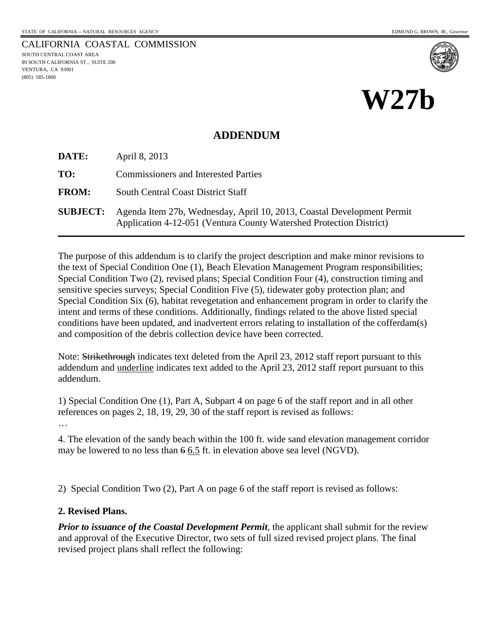CALIFORNIA COASTAL COMMISSION SOUTH CENTRAL COAST AREA 89 SOUTH CALIFORNIA ST., SUITE 200 VENTURA, CA 93001 (805) 585-1800



**W27b**

#### **ADDENDUM**

**DATE:** April 8, 2013

**TO:** Commissioners and Interested Parties

**FROM:** South Central Coast District Staff

**SUBJECT:** Agenda Item 27b, Wednesday, April 10, 2013, Coastal Development Permit Application 4-12-051 (Ventura County Watershed Protection District)

The purpose of this addendum is to clarify the project description and make minor revisions to the text of Special Condition One (1), Beach Elevation Management Program responsibilities; Special Condition Two (2), revised plans; Special Condition Four (4), construction timing and sensitive species surveys; Special Condition Five (5), tidewater goby protection plan; and Special Condition Six (6), habitat revegetation and enhancement program in order to clarify the intent and terms of these conditions. Additionally, findings related to the above listed special conditions have been updated, and inadvertent errors relating to installation of the cofferdam(s) and composition of the debris collection device have been corrected.

Note: Strikethrough indicates text deleted from the April 23, 2012 staff report pursuant to this addendum and underline indicates text added to the April 23, 2012 staff report pursuant to this addendum.

1) Special Condition One (1), Part A, Subpart 4 on page 6 of the staff report and in all other references on pages 2, 18, 19, 29, 30 of the staff report is revised as follows:

…

4. The elevation of the sandy beach within the 100 ft. wide sand elevation management corridor may be lowered to no less than 6 6.5 ft. in elevation above sea level (NGVD).

2) Special Condition Two (2), Part A on page 6 of the staff report is revised as follows:

#### **2. Revised Plans.**

*Prior to issuance of the Coastal Development Permit*, the applicant shall submit for the review and approval of the Executive Director, two sets of full sized revised project plans. The final revised project plans shall reflect the following: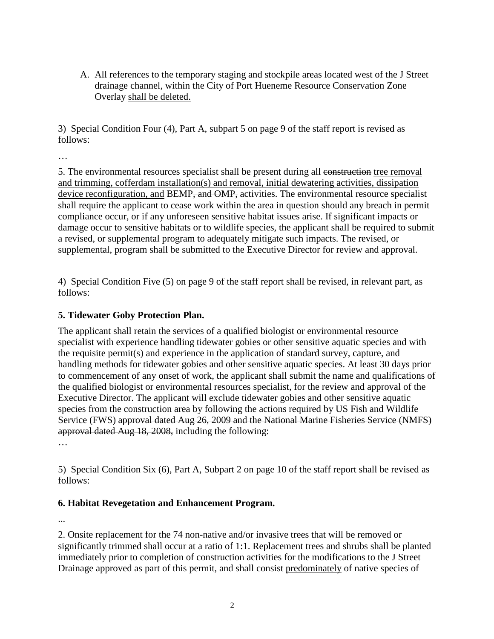A. All references to the temporary staging and stockpile areas located west of the J Street drainage channel, within the City of Port Hueneme Resource Conservation Zone Overlay shall be deleted.

3) Special Condition Four (4), Part A, subpart 5 on page 9 of the staff report is revised as follows:

…

5. The environmental resources specialist shall be present during all construction tree removal and trimming, cofferdam installation(s) and removal, initial dewatering activities, dissipation device reconfiguration, and BEMP, and OMP, activities. The environmental resource specialist shall require the applicant to cease work within the area in question should any breach in permit compliance occur, or if any unforeseen sensitive habitat issues arise. If significant impacts or damage occur to sensitive habitats or to wildlife species, the applicant shall be required to submit a revised, or supplemental program to adequately mitigate such impacts. The revised, or supplemental, program shall be submitted to the Executive Director for review and approval.

4) Special Condition Five (5) on page 9 of the staff report shall be revised, in relevant part, as follows:

#### **5. Tidewater Goby Protection Plan.**

The applicant shall retain the services of a qualified biologist or environmental resource specialist with experience handling tidewater gobies or other sensitive aquatic species and with the requisite permit(s) and experience in the application of standard survey, capture, and handling methods for tidewater gobies and other sensitive aquatic species. At least 30 days prior to commencement of any onset of work, the applicant shall submit the name and qualifications of the qualified biologist or environmental resources specialist, for the review and approval of the Executive Director. The applicant will exclude tidewater gobies and other sensitive aquatic species from the construction area by following the actions required by US Fish and Wildlife Service (FWS) approval dated Aug 26, 2009 and the National Marine Fisheries Service (NMFS) approval dated Aug 18, 2008, including the following:

…

5) Special Condition Six (6), Part A, Subpart 2 on page 10 of the staff report shall be revised as follows:

#### **6. Habitat Revegetation and Enhancement Program.**

...

2. Onsite replacement for the 74 non-native and/or invasive trees that will be removed or significantly trimmed shall occur at a ratio of 1:1. Replacement trees and shrubs shall be planted immediately prior to completion of construction activities for the modifications to the J Street Drainage approved as part of this permit, and shall consist predominately of native species of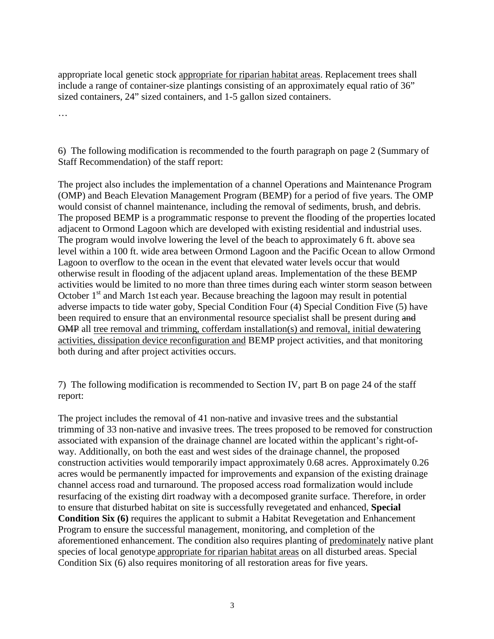appropriate local genetic stock appropriate for riparian habitat areas. Replacement trees shall include a range of container-size plantings consisting of an approximately equal ratio of 36" sized containers, 24" sized containers, and 1-5 gallon sized containers.

…

6) The following modification is recommended to the fourth paragraph on page 2 (Summary of Staff Recommendation) of the staff report:

The project also includes the implementation of a channel Operations and Maintenance Program (OMP) and Beach Elevation Management Program (BEMP) for a period of five years. The OMP would consist of channel maintenance, including the removal of sediments, brush, and debris. The proposed BEMP is a programmatic response to prevent the flooding of the properties located adjacent to Ormond Lagoon which are developed with existing residential and industrial uses. The program would involve lowering the level of the beach to approximately 6 ft. above sea level within a 100 ft. wide area between Ormond Lagoon and the Pacific Ocean to allow Ormond Lagoon to overflow to the ocean in the event that elevated water levels occur that would otherwise result in flooding of the adjacent upland areas. Implementation of the these BEMP activities would be limited to no more than three times during each winter storm season between October  $1<sup>st</sup>$  and March 1st each year. Because breaching the lagoon may result in potential adverse impacts to tide water goby, Special Condition Four (4) Special Condition Five (5) have been required to ensure that an environmental resource specialist shall be present during and OMP all tree removal and trimming, cofferdam installation(s) and removal, initial dewatering activities, dissipation device reconfiguration and BEMP project activities, and that monitoring both during and after project activities occurs.

7) The following modification is recommended to Section IV, part B on page 24 of the staff report:

The project includes the removal of 41 non-native and invasive trees and the substantial trimming of 33 non-native and invasive trees. The trees proposed to be removed for construction associated with expansion of the drainage channel are located within the applicant's right-ofway. Additionally, on both the east and west sides of the drainage channel, the proposed construction activities would temporarily impact approximately 0.68 acres. Approximately 0.26 acres would be permanently impacted for improvements and expansion of the existing drainage channel access road and turnaround. The proposed access road formalization would include resurfacing of the existing dirt roadway with a decomposed granite surface. Therefore, in order to ensure that disturbed habitat on site is successfully revegetated and enhanced, **Special Condition Six (6)** requires the applicant to submit a Habitat Revegetation and Enhancement Program to ensure the successful management, monitoring, and completion of the aforementioned enhancement. The condition also requires planting of predominately native plant species of local genotype appropriate for riparian habitat areas on all disturbed areas. Special Condition Six (6) also requires monitoring of all restoration areas for five years.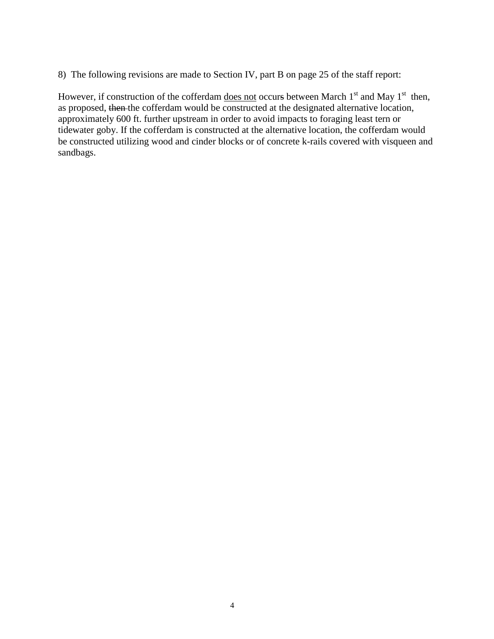8) The following revisions are made to Section IV, part B on page 25 of the staff report:

However, if construction of the cofferdam <u>does not</u> occurs between March  $1<sup>st</sup>$  and May  $1<sup>st</sup>$  then, as proposed, then the cofferdam would be constructed at the designated alternative location, approximately 600 ft. further upstream in order to avoid impacts to foraging least tern or tidewater goby. If the cofferdam is constructed at the alternative location, the cofferdam would be constructed utilizing wood and cinder blocks or of concrete k-rails covered with visqueen and sandbags.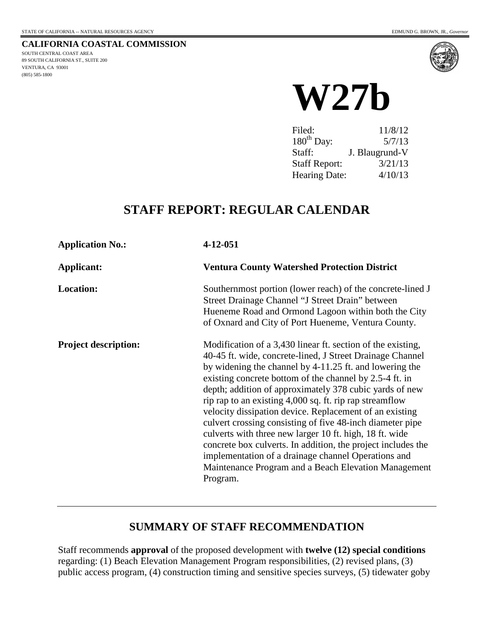(805) 585-1800

**CALIFORNIA COASTAL COMMISSION** SOUTH CENTRAL COAST AREA 89 SOUTH CALIFORNIA ST., SUITE 200 VENTURA, CA 93001



# **W27b**

| Filed:               | 11/8/12        |
|----------------------|----------------|
| $180th$ Day:         | 5/7/13         |
| Staff:               | J. Blaugrund-V |
| <b>Staff Report:</b> | 3/21/13        |
| <b>Hearing Date:</b> | 4/10/13        |

# **STAFF REPORT: REGULAR CALENDAR**

| <b>Application No.:</b>     | 4-12-051                                                                                                                                                                                                                                                                                                                                                                                                                                                                                                                                                                                                                                                                                                                                           |
|-----------------------------|----------------------------------------------------------------------------------------------------------------------------------------------------------------------------------------------------------------------------------------------------------------------------------------------------------------------------------------------------------------------------------------------------------------------------------------------------------------------------------------------------------------------------------------------------------------------------------------------------------------------------------------------------------------------------------------------------------------------------------------------------|
| Applicant:                  | <b>Ventura County Watershed Protection District</b>                                                                                                                                                                                                                                                                                                                                                                                                                                                                                                                                                                                                                                                                                                |
| <b>Location:</b>            | Southernmost portion (lower reach) of the concrete-lined J<br>Street Drainage Channel "J Street Drain" between<br>Hueneme Road and Ormond Lagoon within both the City<br>of Oxnard and City of Port Hueneme, Ventura County.                                                                                                                                                                                                                                                                                                                                                                                                                                                                                                                       |
| <b>Project description:</b> | Modification of a 3,430 linear ft. section of the existing,<br>40-45 ft. wide, concrete-lined, J Street Drainage Channel<br>by widening the channel by 4-11.25 ft. and lowering the<br>existing concrete bottom of the channel by 2.5-4 ft. in<br>depth; addition of approximately 378 cubic yards of new<br>rip rap to an existing 4,000 sq. ft. rip rap streamflow<br>velocity dissipation device. Replacement of an existing<br>culvert crossing consisting of five 48-inch diameter pipe<br>culverts with three new larger 10 ft. high, 18 ft. wide<br>concrete box culverts. In addition, the project includes the<br>implementation of a drainage channel Operations and<br>Maintenance Program and a Beach Elevation Management<br>Program. |

# **SUMMARY OF STAFF RECOMMENDATION**

Staff recommends **approval** of the proposed development with **twelve (12) special conditions** regarding: (1) Beach Elevation Management Program responsibilities, (2) revised plans, (3) public access program, (4) construction timing and sensitive species surveys, (5) tidewater goby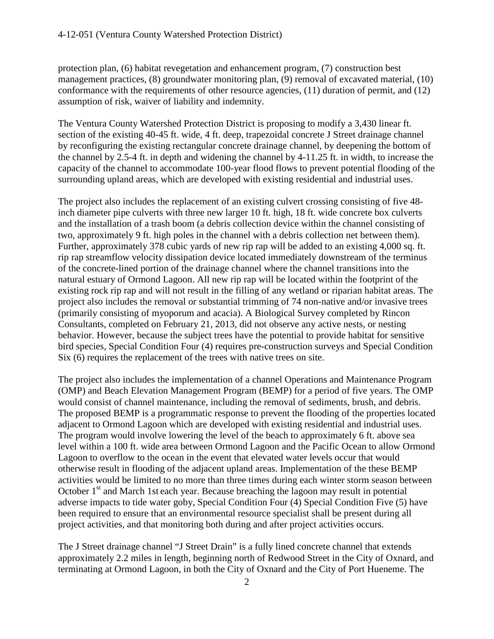protection plan, (6) habitat revegetation and enhancement program, (7) construction best management practices, (8) groundwater monitoring plan, (9) removal of excavated material, (10) conformance with the requirements of other resource agencies, (11) duration of permit, and (12) assumption of risk, waiver of liability and indemnity.

The Ventura County Watershed Protection District is proposing to modify a 3,430 linear ft. section of the existing 40-45 ft. wide, 4 ft. deep, trapezoidal concrete J Street drainage channel by reconfiguring the existing rectangular concrete drainage channel, by deepening the bottom of the channel by 2.5-4 ft. in depth and widening the channel by 4-11.25 ft. in width, to increase the capacity of the channel to accommodate 100-year flood flows to prevent potential flooding of the surrounding upland areas, which are developed with existing residential and industrial uses.

The project also includes the replacement of an existing culvert crossing consisting of five 48 inch diameter pipe culverts with three new larger 10 ft. high, 18 ft. wide concrete box culverts and the installation of a trash boom (a debris collection device within the channel consisting of two, approximately 9 ft. high poles in the channel with a debris collection net between them). Further, approximately 378 cubic yards of new rip rap will be added to an existing 4,000 sq. ft. rip rap streamflow velocity dissipation device located immediately downstream of the terminus of the concrete-lined portion of the drainage channel where the channel transitions into the natural estuary of Ormond Lagoon. All new rip rap will be located within the footprint of the existing rock rip rap and will not result in the filling of any wetland or riparian habitat areas. The project also includes the removal or substantial trimming of 74 non-native and/or invasive trees (primarily consisting of myoporum and acacia). A Biological Survey completed by Rincon Consultants, completed on February 21, 2013, did not observe any active nests, or nesting behavior. However, because the subject trees have the potential to provide habitat for sensitive bird species, Special Condition Four (4) requires pre-construction surveys and Special Condition Six (6) requires the replacement of the trees with native trees on site.

The project also includes the implementation of a channel Operations and Maintenance Program (OMP) and Beach Elevation Management Program (BEMP) for a period of five years. The OMP would consist of channel maintenance, including the removal of sediments, brush, and debris. The proposed BEMP is a programmatic response to prevent the flooding of the properties located adjacent to Ormond Lagoon which are developed with existing residential and industrial uses. The program would involve lowering the level of the beach to approximately 6 ft. above sea level within a 100 ft. wide area between Ormond Lagoon and the Pacific Ocean to allow Ormond Lagoon to overflow to the ocean in the event that elevated water levels occur that would otherwise result in flooding of the adjacent upland areas. Implementation of the these BEMP activities would be limited to no more than three times during each winter storm season between October  $1<sup>st</sup>$  and March 1st each year. Because breaching the lagoon may result in potential adverse impacts to tide water goby, Special Condition Four (4) Special Condition Five (5) have been required to ensure that an environmental resource specialist shall be present during all project activities, and that monitoring both during and after project activities occurs.

The J Street drainage channel "J Street Drain" is a fully lined concrete channel that extends approximately 2.2 miles in length, beginning north of Redwood Street in the City of Oxnard, and terminating at Ormond Lagoon, in both the City of Oxnard and the City of Port Hueneme. The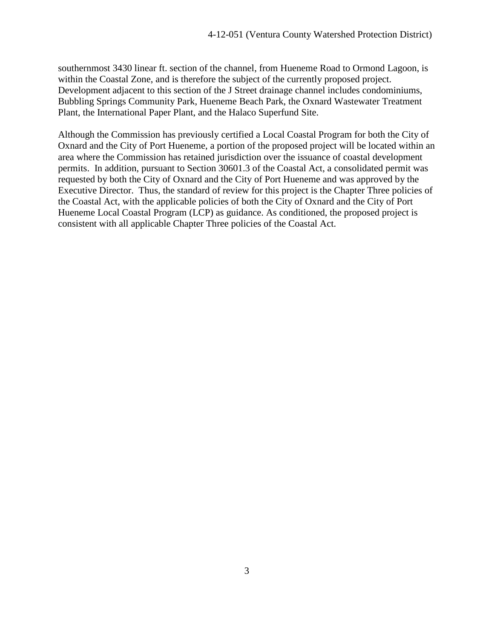southernmost 3430 linear ft. section of the channel, from Hueneme Road to Ormond Lagoon, is within the Coastal Zone, and is therefore the subject of the currently proposed project. Development adjacent to this section of the J Street drainage channel includes condominiums, Bubbling Springs Community Park, Hueneme Beach Park, the Oxnard Wastewater Treatment Plant, the International Paper Plant, and the Halaco Superfund Site.

Although the Commission has previously certified a Local Coastal Program for both the City of Oxnard and the City of Port Hueneme, a portion of the proposed project will be located within an area where the Commission has retained jurisdiction over the issuance of coastal development permits. In addition, pursuant to Section 30601.3 of the Coastal Act, a consolidated permit was requested by both the City of Oxnard and the City of Port Hueneme and was approved by the Executive Director. Thus, the standard of review for this project is the Chapter Three policies of the Coastal Act, with the applicable policies of both the City of Oxnard and the City of Port Hueneme Local Coastal Program (LCP) as guidance. As conditioned, the proposed project is consistent with all applicable Chapter Three policies of the Coastal Act.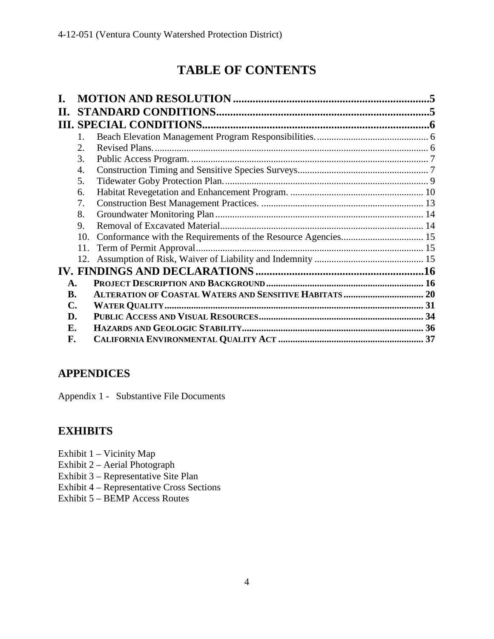# **TABLE OF CONTENTS**

| П.             |                |  |
|----------------|----------------|--|
|                |                |  |
|                | $\mathbf{1}$ . |  |
|                | 2.             |  |
|                | 3.             |  |
|                | 4.             |  |
|                | 5.             |  |
|                | 6.             |  |
|                | 7.             |  |
|                | 8.             |  |
|                | 9.             |  |
|                | 10.            |  |
|                | 11.            |  |
|                |                |  |
|                |                |  |
| $\mathbf{A}$ . |                |  |
| <b>B.</b>      |                |  |
| $\mathbf{C}$ . |                |  |
| D.             |                |  |
| Е.             |                |  |
| F.             |                |  |

# **APPENDICES**

Appendix 1 - Substantive File Documents

# **EXHIBITS**

- Exhibit 1 Vicinity Map
- Exhibit 2 Aerial Photograph
- Exhibit 3 Representative Site Plan
- Exhibit 4 Representative Cross Sections
- Exhibit 5 BEMP Access Routes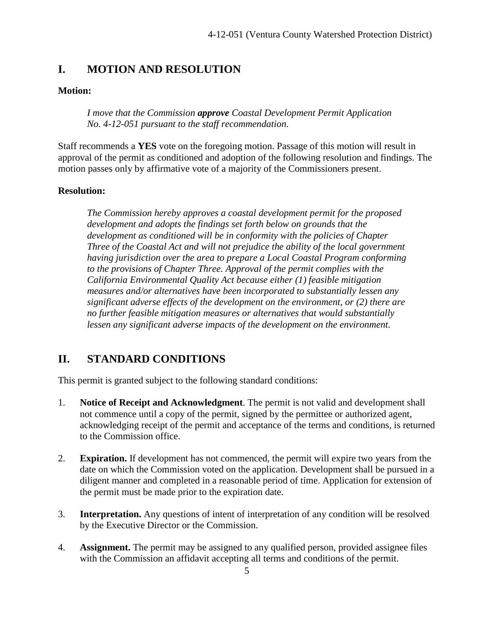#### <span id="page-8-0"></span>**I. MOTION AND RESOLUTION**

#### **Motion:**

*I move that the Commission approve Coastal Development Permit Application No. 4-12-051 pursuant to the staff recommendation.* 

Staff recommends a **YES** vote on the foregoing motion. Passage of this motion will result in approval of the permit as conditioned and adoption of the following resolution and findings. The motion passes only by affirmative vote of a majority of the Commissioners present.

#### **Resolution:**

*The Commission hereby approves a coastal development permit for the proposed development and adopts the findings set forth below on grounds that the development as conditioned will be in conformity with the policies of Chapter Three of the Coastal Act and will not prejudice the ability of the local government having jurisdiction over the area to prepare a Local Coastal Program conforming to the provisions of Chapter Three. Approval of the permit complies with the California Environmental Quality Act because either (1) feasible mitigation measures and/or alternatives have been incorporated to substantially lessen any significant adverse effects of the development on the environment, or (2) there are no further feasible mitigation measures or alternatives that would substantially lessen any significant adverse impacts of the development on the environment.*

#### <span id="page-8-1"></span>**II. STANDARD CONDITIONS**

This permit is granted subject to the following standard conditions:

- 1. **Notice of Receipt and Acknowledgment**. The permit is not valid and development shall not commence until a copy of the permit, signed by the permittee or authorized agent, acknowledging receipt of the permit and acceptance of the terms and conditions, is returned to the Commission office.
- 2. **Expiration.** If development has not commenced, the permit will expire two years from the date on which the Commission voted on the application. Development shall be pursued in a diligent manner and completed in a reasonable period of time. Application for extension of the permit must be made prior to the expiration date.
- 3. **Interpretation.** Any questions of intent of interpretation of any condition will be resolved by the Executive Director or the Commission.
- 4. **Assignment.** The permit may be assigned to any qualified person, provided assignee files with the Commission an affidavit accepting all terms and conditions of the permit.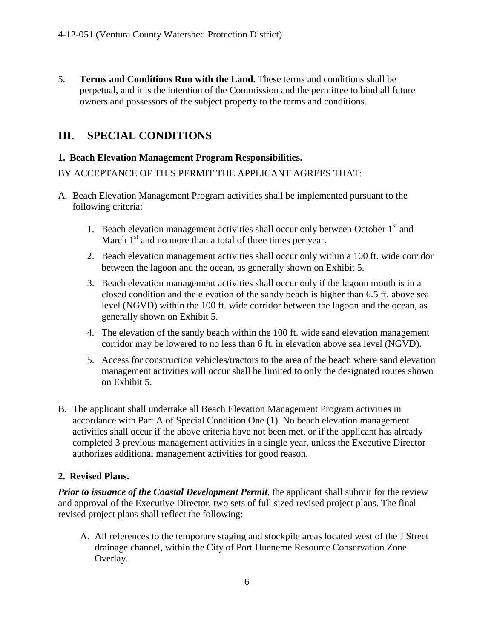5. **Terms and Conditions Run with the Land.** These terms and conditions shall be perpetual, and it is the intention of the Commission and the permittee to bind all future owners and possessors of the subject property to the terms and conditions.

# <span id="page-9-0"></span>**III. SPECIAL CONDITIONS**

#### <span id="page-9-1"></span>**1. Beach Elevation Management Program Responsibilities.**

#### BY ACCEPTANCE OF THIS PERMIT THE APPLICANT AGREES THAT:

- A. Beach Elevation Management Program activities shall be implemented pursuant to the following criteria:
	- 1. Beach elevation management activities shall occur only between October  $1<sup>st</sup>$  and March  $1<sup>st</sup>$  and no more than a total of three times per year.
	- 2. Beach elevation management activities shall occur only within a 100 ft. wide corridor between the lagoon and the ocean, as generally shown on Exhibit 5.
	- 3. Beach elevation management activities shall occur only if the lagoon mouth is in a closed condition and the elevation of the sandy beach is higher than 6.5 ft. above sea level (NGVD) within the 100 ft. wide corridor between the lagoon and the ocean, as generally shown on Exhibit 5.
	- 4. The elevation of the sandy beach within the 100 ft. wide sand elevation management corridor may be lowered to no less than 6 ft. in elevation above sea level (NGVD).
	- 5. Access for construction vehicles/tractors to the area of the beach where sand elevation management activities will occur shall be limited to only the designated routes shown on Exhibit 5.
- B. The applicant shall undertake all Beach Elevation Management Program activities in accordance with Part A of Special Condition One (1). No beach elevation management activities shall occur if the above criteria have not been met, or if the applicant has already completed 3 previous management activities in a single year, unless the Executive Director authorizes additional management activities for good reason.

#### <span id="page-9-2"></span>**2. Revised Plans.**

*Prior to issuance of the Coastal Development Permit*, the applicant shall submit for the review and approval of the Executive Director, two sets of full sized revised project plans. The final revised project plans shall reflect the following:

A. All references to the temporary staging and stockpile areas located west of the J Street drainage channel, within the City of Port Hueneme Resource Conservation Zone Overlay.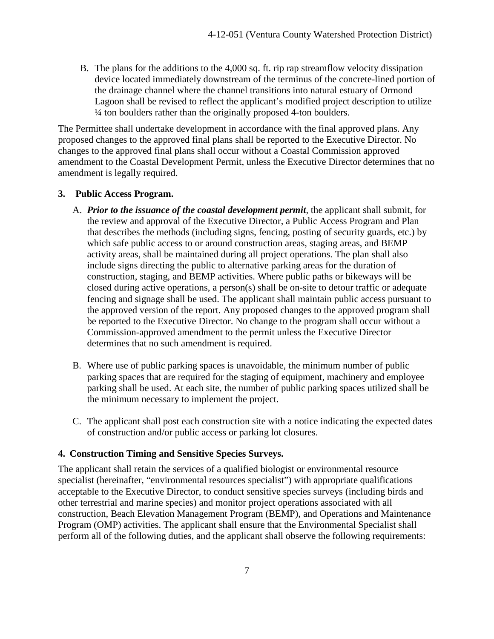B. The plans for the additions to the 4,000 sq. ft. rip rap streamflow velocity dissipation device located immediately downstream of the terminus of the concrete-lined portion of the drainage channel where the channel transitions into natural estuary of Ormond Lagoon shall be revised to reflect the applicant's modified project description to utilize ¼ ton boulders rather than the originally proposed 4-ton boulders.

The Permittee shall undertake development in accordance with the final approved plans. Any proposed changes to the approved final plans shall be reported to the Executive Director. No changes to the approved final plans shall occur without a Coastal Commission approved amendment to the Coastal Development Permit, unless the Executive Director determines that no amendment is legally required.

#### <span id="page-10-0"></span>**3. Public Access Program.**

- A. *Prior to the issuance of the coastal development permit*, the applicant shall submit, for the review and approval of the Executive Director, a Public Access Program and Plan that describes the methods (including signs, fencing, posting of security guards, etc.) by which safe public access to or around construction areas, staging areas, and BEMP activity areas, shall be maintained during all project operations. The plan shall also include signs directing the public to alternative parking areas for the duration of construction, staging, and BEMP activities. Where public paths or bikeways will be closed during active operations, a person(s) shall be on-site to detour traffic or adequate fencing and signage shall be used. The applicant shall maintain public access pursuant to the approved version of the report. Any proposed changes to the approved program shall be reported to the Executive Director. No change to the program shall occur without a Commission-approved amendment to the permit unless the Executive Director determines that no such amendment is required.
- B. Where use of public parking spaces is unavoidable, the minimum number of public parking spaces that are required for the staging of equipment, machinery and employee parking shall be used. At each site, the number of public parking spaces utilized shall be the minimum necessary to implement the project.
- C. The applicant shall post each construction site with a notice indicating the expected dates of construction and/or public access or parking lot closures.

#### <span id="page-10-1"></span>**4. Construction Timing and Sensitive Species Surveys.**

The applicant shall retain the services of a qualified biologist or environmental resource specialist (hereinafter, "environmental resources specialist") with appropriate qualifications acceptable to the Executive Director, to conduct sensitive species surveys (including birds and other terrestrial and marine species) and monitor project operations associated with all construction, Beach Elevation Management Program (BEMP), and Operations and Maintenance Program (OMP) activities. The applicant shall ensure that the Environmental Specialist shall perform all of the following duties, and the applicant shall observe the following requirements: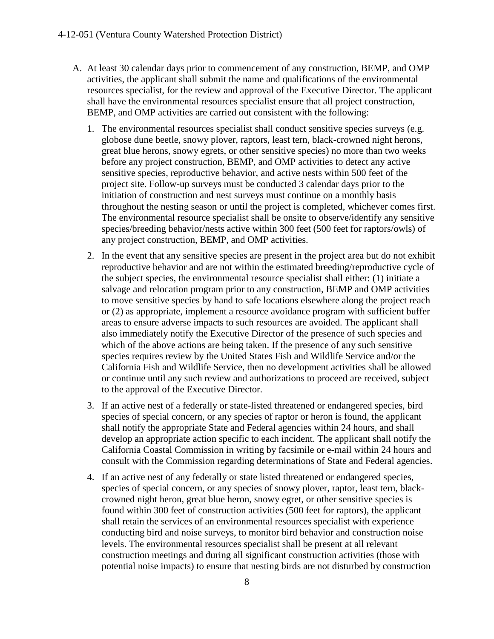- A. At least 30 calendar days prior to commencement of any construction, BEMP, and OMP activities, the applicant shall submit the name and qualifications of the environmental resources specialist, for the review and approval of the Executive Director. The applicant shall have the environmental resources specialist ensure that all project construction, BEMP, and OMP activities are carried out consistent with the following:
	- 1. The environmental resources specialist shall conduct sensitive species surveys (e.g. globose dune beetle, snowy plover, raptors, least tern, black-crowned night herons, great blue herons, snowy egrets, or other sensitive species) no more than two weeks before any project construction, BEMP, and OMP activities to detect any active sensitive species, reproductive behavior, and active nests within 500 feet of the project site. Follow-up surveys must be conducted 3 calendar days prior to the initiation of construction and nest surveys must continue on a monthly basis throughout the nesting season or until the project is completed, whichever comes first. The environmental resource specialist shall be onsite to observe/identify any sensitive species/breeding behavior/nests active within 300 feet (500 feet for raptors/owls) of any project construction, BEMP, and OMP activities.
	- 2. In the event that any sensitive species are present in the project area but do not exhibit reproductive behavior and are not within the estimated breeding/reproductive cycle of the subject species, the environmental resource specialist shall either: (1) initiate a salvage and relocation program prior to any construction, BEMP and OMP activities to move sensitive species by hand to safe locations elsewhere along the project reach or (2) as appropriate, implement a resource avoidance program with sufficient buffer areas to ensure adverse impacts to such resources are avoided. The applicant shall also immediately notify the Executive Director of the presence of such species and which of the above actions are being taken. If the presence of any such sensitive species requires review by the United States Fish and Wildlife Service and/or the California Fish and Wildlife Service, then no development activities shall be allowed or continue until any such review and authorizations to proceed are received, subject to the approval of the Executive Director.
	- 3. If an active nest of a federally or state-listed threatened or endangered species, bird species of special concern, or any species of raptor or heron is found, the applicant shall notify the appropriate State and Federal agencies within 24 hours, and shall develop an appropriate action specific to each incident. The applicant shall notify the California Coastal Commission in writing by facsimile or e-mail within 24 hours and consult with the Commission regarding determinations of State and Federal agencies.
	- 4. If an active nest of any federally or state listed threatened or endangered species, species of special concern, or any species of snowy plover, raptor, least tern, blackcrowned night heron, great blue heron, snowy egret, or other sensitive species is found within 300 feet of construction activities (500 feet for raptors), the applicant shall retain the services of an environmental resources specialist with experience conducting bird and noise surveys, to monitor bird behavior and construction noise levels. The environmental resources specialist shall be present at all relevant construction meetings and during all significant construction activities (those with potential noise impacts) to ensure that nesting birds are not disturbed by construction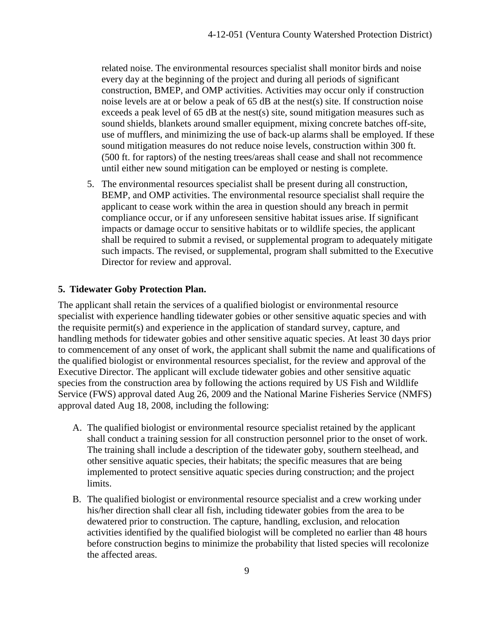related noise. The environmental resources specialist shall monitor birds and noise every day at the beginning of the project and during all periods of significant construction, BMEP, and OMP activities. Activities may occur only if construction noise levels are at or below a peak of 65 dB at the nest(s) site. If construction noise exceeds a peak level of 65 dB at the nest(s) site, sound mitigation measures such as sound shields, blankets around smaller equipment, mixing concrete batches off-site, use of mufflers, and minimizing the use of back-up alarms shall be employed. If these sound mitigation measures do not reduce noise levels, construction within 300 ft. (500 ft. for raptors) of the nesting trees/areas shall cease and shall not recommence until either new sound mitigation can be employed or nesting is complete.

5. The environmental resources specialist shall be present during all construction, BEMP, and OMP activities. The environmental resource specialist shall require the applicant to cease work within the area in question should any breach in permit compliance occur, or if any unforeseen sensitive habitat issues arise. If significant impacts or damage occur to sensitive habitats or to wildlife species, the applicant shall be required to submit a revised, or supplemental program to adequately mitigate such impacts. The revised, or supplemental, program shall submitted to the Executive Director for review and approval.

#### <span id="page-12-0"></span>**5. Tidewater Goby Protection Plan.**

The applicant shall retain the services of a qualified biologist or environmental resource specialist with experience handling tidewater gobies or other sensitive aquatic species and with the requisite permit(s) and experience in the application of standard survey, capture, and handling methods for tidewater gobies and other sensitive aquatic species. At least 30 days prior to commencement of any onset of work, the applicant shall submit the name and qualifications of the qualified biologist or environmental resources specialist, for the review and approval of the Executive Director. The applicant will exclude tidewater gobies and other sensitive aquatic species from the construction area by following the actions required by US Fish and Wildlife Service (FWS) approval dated Aug 26, 2009 and the National Marine Fisheries Service (NMFS) approval dated Aug 18, 2008, including the following:

- A. The qualified biologist or environmental resource specialist retained by the applicant shall conduct a training session for all construction personnel prior to the onset of work. The training shall include a description of the tidewater goby, southern steelhead, and other sensitive aquatic species, their habitats; the specific measures that are being implemented to protect sensitive aquatic species during construction; and the project limits.
- B. The qualified biologist or environmental resource specialist and a crew working under his/her direction shall clear all fish, including tidewater gobies from the area to be dewatered prior to construction. The capture, handling, exclusion, and relocation activities identified by the qualified biologist will be completed no earlier than 48 hours before construction begins to minimize the probability that listed species will recolonize the affected areas.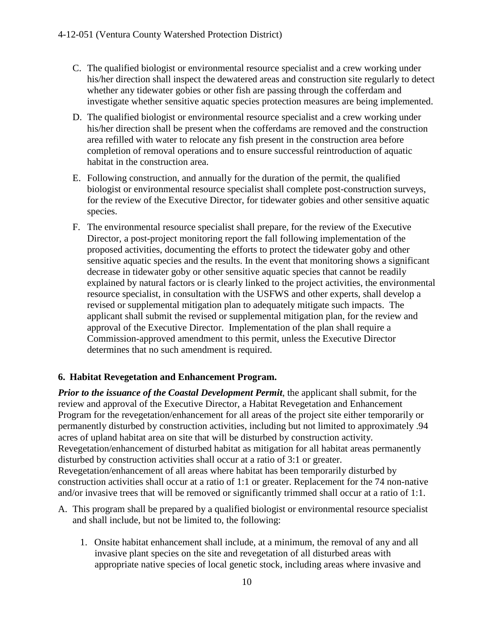- C. The qualified biologist or environmental resource specialist and a crew working under his/her direction shall inspect the dewatered areas and construction site regularly to detect whether any tidewater gobies or other fish are passing through the cofferdam and investigate whether sensitive aquatic species protection measures are being implemented.
- D. The qualified biologist or environmental resource specialist and a crew working under his/her direction shall be present when the cofferdams are removed and the construction area refilled with water to relocate any fish present in the construction area before completion of removal operations and to ensure successful reintroduction of aquatic habitat in the construction area.
- E. Following construction, and annually for the duration of the permit, the qualified biologist or environmental resource specialist shall complete post-construction surveys, for the review of the Executive Director, for tidewater gobies and other sensitive aquatic species.
- F. The environmental resource specialist shall prepare, for the review of the Executive Director, a post-project monitoring report the fall following implementation of the proposed activities, documenting the efforts to protect the tidewater goby and other sensitive aquatic species and the results. In the event that monitoring shows a significant decrease in tidewater goby or other sensitive aquatic species that cannot be readily explained by natural factors or is clearly linked to the project activities, the environmental resource specialist, in consultation with the USFWS and other experts, shall develop a revised or supplemental mitigation plan to adequately mitigate such impacts. The applicant shall submit the revised or supplemental mitigation plan, for the review and approval of the Executive Director. Implementation of the plan shall require a Commission-approved amendment to this permit, unless the Executive Director determines that no such amendment is required.

#### <span id="page-13-0"></span>**6. Habitat Revegetation and Enhancement Program.**

*Prior to the issuance of the Coastal Development Permit*, the applicant shall submit, for the review and approval of the Executive Director, a Habitat Revegetation and Enhancement Program for the revegetation/enhancement for all areas of the project site either temporarily or permanently disturbed by construction activities, including but not limited to approximately .94 acres of upland habitat area on site that will be disturbed by construction activity. Revegetation/enhancement of disturbed habitat as mitigation for all habitat areas permanently disturbed by construction activities shall occur at a ratio of 3:1 or greater. Revegetation/enhancement of all areas where habitat has been temporarily disturbed by construction activities shall occur at a ratio of 1:1 or greater. Replacement for the 74 non-native and/or invasive trees that will be removed or significantly trimmed shall occur at a ratio of 1:1.

- A. This program shall be prepared by a qualified biologist or environmental resource specialist and shall include, but not be limited to, the following:
	- 1. Onsite habitat enhancement shall include, at a minimum, the removal of any and all invasive plant species on the site and revegetation of all disturbed areas with appropriate native species of local genetic stock, including areas where invasive and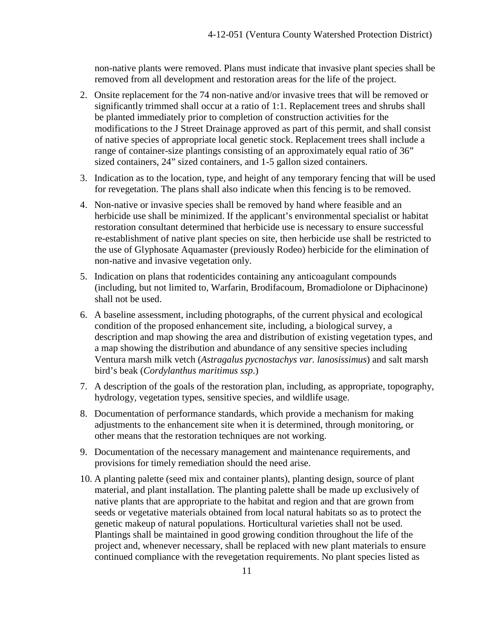non-native plants were removed. Plans must indicate that invasive plant species shall be removed from all development and restoration areas for the life of the project.

- 2. Onsite replacement for the 74 non-native and/or invasive trees that will be removed or significantly trimmed shall occur at a ratio of 1:1. Replacement trees and shrubs shall be planted immediately prior to completion of construction activities for the modifications to the J Street Drainage approved as part of this permit, and shall consist of native species of appropriate local genetic stock. Replacement trees shall include a range of container-size plantings consisting of an approximately equal ratio of 36" sized containers, 24" sized containers, and 1-5 gallon sized containers.
- 3. Indication as to the location, type, and height of any temporary fencing that will be used for revegetation. The plans shall also indicate when this fencing is to be removed.
- 4. Non-native or invasive species shall be removed by hand where feasible and an herbicide use shall be minimized. If the applicant's environmental specialist or habitat restoration consultant determined that herbicide use is necessary to ensure successful re-establishment of native plant species on site, then herbicide use shall be restricted to the use of Glyphosate Aquamaster (previously Rodeo) herbicide for the elimination of non-native and invasive vegetation only.
- 5. Indication on plans that rodenticides containing any anticoagulant compounds (including, but not limited to, Warfarin, Brodifacoum, Bromadiolone or Diphacinone) shall not be used.
- 6. A baseline assessment, including photographs, of the current physical and ecological condition of the proposed enhancement site, including, a biological survey, a description and map showing the area and distribution of existing vegetation types, and a map showing the distribution and abundance of any sensitive species including Ventura marsh milk vetch (*Astragalus pycnostachys var. lanosissimus*) and salt marsh bird's beak (*Cordylanthus maritimus ssp*.)
- 7. A description of the goals of the restoration plan, including, as appropriate, topography, hydrology, vegetation types, sensitive species, and wildlife usage.
- 8. Documentation of performance standards, which provide a mechanism for making adjustments to the enhancement site when it is determined, through monitoring, or other means that the restoration techniques are not working.
- 9. Documentation of the necessary management and maintenance requirements, and provisions for timely remediation should the need arise.
- 10. A planting palette (seed mix and container plants), planting design, source of plant material, and plant installation. The planting palette shall be made up exclusively of native plants that are appropriate to the habitat and region and that are grown from seeds or vegetative materials obtained from local natural habitats so as to protect the genetic makeup of natural populations. Horticultural varieties shall not be used. Plantings shall be maintained in good growing condition throughout the life of the project and, whenever necessary, shall be replaced with new plant materials to ensure continued compliance with the revegetation requirements. No plant species listed as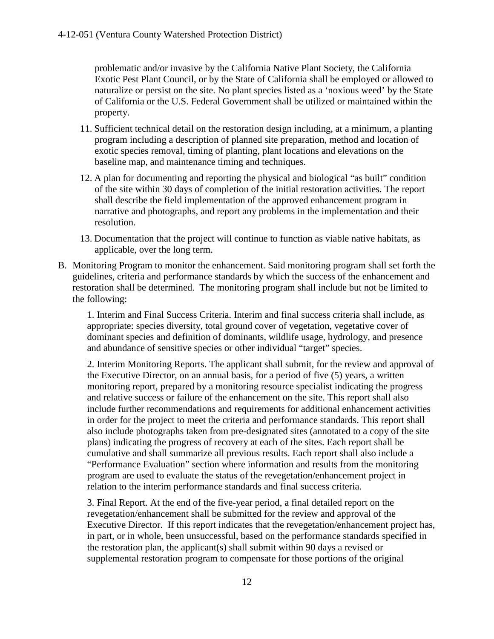problematic and/or invasive by the California Native Plant Society, the California Exotic Pest Plant Council, or by the State of California shall be employed or allowed to naturalize or persist on the site. No plant species listed as a 'noxious weed' by the State of California or the U.S. Federal Government shall be utilized or maintained within the property.

- 11. Sufficient technical detail on the restoration design including, at a minimum, a planting program including a description of planned site preparation, method and location of exotic species removal, timing of planting, plant locations and elevations on the baseline map, and maintenance timing and techniques.
- 12. A plan for documenting and reporting the physical and biological "as built" condition of the site within 30 days of completion of the initial restoration activities. The report shall describe the field implementation of the approved enhancement program in narrative and photographs, and report any problems in the implementation and their resolution.
- 13. Documentation that the project will continue to function as viable native habitats, as applicable, over the long term.
- B. Monitoring Program to monitor the enhancement. Said monitoring program shall set forth the guidelines, criteria and performance standards by which the success of the enhancement and restoration shall be determined. The monitoring program shall include but not be limited to the following:

1. Interim and Final Success Criteria. Interim and final success criteria shall include, as appropriate: species diversity, total ground cover of vegetation, vegetative cover of dominant species and definition of dominants, wildlife usage, hydrology, and presence and abundance of sensitive species or other individual "target" species.

2. Interim Monitoring Reports. The applicant shall submit, for the review and approval of the Executive Director, on an annual basis, for a period of five (5) years, a written monitoring report, prepared by a monitoring resource specialist indicating the progress and relative success or failure of the enhancement on the site. This report shall also include further recommendations and requirements for additional enhancement activities in order for the project to meet the criteria and performance standards. This report shall also include photographs taken from pre-designated sites (annotated to a copy of the site plans) indicating the progress of recovery at each of the sites. Each report shall be cumulative and shall summarize all previous results. Each report shall also include a "Performance Evaluation" section where information and results from the monitoring program are used to evaluate the status of the revegetation/enhancement project in relation to the interim performance standards and final success criteria.

3. Final Report. At the end of the five-year period, a final detailed report on the revegetation/enhancement shall be submitted for the review and approval of the Executive Director. If this report indicates that the revegetation/enhancement project has, in part, or in whole, been unsuccessful, based on the performance standards specified in the restoration plan, the applicant(s) shall submit within 90 days a revised or supplemental restoration program to compensate for those portions of the original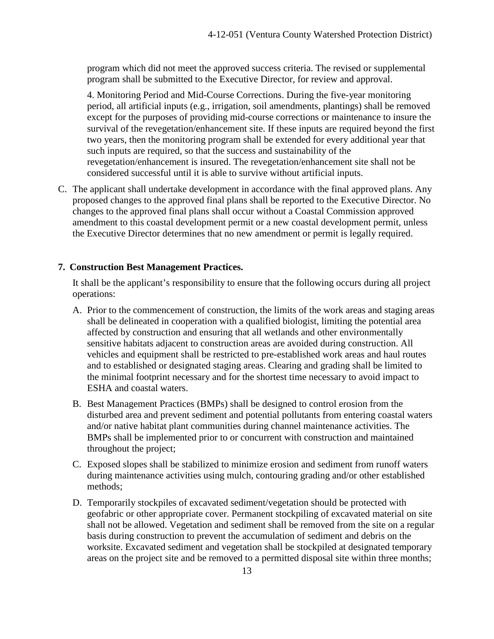program which did not meet the approved success criteria. The revised or supplemental program shall be submitted to the Executive Director, for review and approval.

4. Monitoring Period and Mid-Course Corrections. During the five-year monitoring period, all artificial inputs (e.g., irrigation, soil amendments, plantings) shall be removed except for the purposes of providing mid-course corrections or maintenance to insure the survival of the revegetation/enhancement site. If these inputs are required beyond the first two years, then the monitoring program shall be extended for every additional year that such inputs are required, so that the success and sustainability of the revegetation/enhancement is insured. The revegetation/enhancement site shall not be considered successful until it is able to survive without artificial inputs.

C. The applicant shall undertake development in accordance with the final approved plans. Any proposed changes to the approved final plans shall be reported to the Executive Director. No changes to the approved final plans shall occur without a Coastal Commission approved amendment to this coastal development permit or a new coastal development permit, unless the Executive Director determines that no new amendment or permit is legally required.

#### <span id="page-16-0"></span>**7. Construction Best Management Practices.**

It shall be the applicant's responsibility to ensure that the following occurs during all project operations:

- A. Prior to the commencement of construction, the limits of the work areas and staging areas shall be delineated in cooperation with a qualified biologist, limiting the potential area affected by construction and ensuring that all wetlands and other environmentally sensitive habitats adjacent to construction areas are avoided during construction. All vehicles and equipment shall be restricted to pre-established work areas and haul routes and to established or designated staging areas. Clearing and grading shall be limited to the minimal footprint necessary and for the shortest time necessary to avoid impact to ESHA and coastal waters.
- B. Best Management Practices (BMPs) shall be designed to control erosion from the disturbed area and prevent sediment and potential pollutants from entering coastal waters and/or native habitat plant communities during channel maintenance activities. The BMPs shall be implemented prior to or concurrent with construction and maintained throughout the project;
- C. Exposed slopes shall be stabilized to minimize erosion and sediment from runoff waters during maintenance activities using mulch, contouring grading and/or other established methods;
- D. Temporarily stockpiles of excavated sediment/vegetation should be protected with geofabric or other appropriate cover. Permanent stockpiling of excavated material on site shall not be allowed. Vegetation and sediment shall be removed from the site on a regular basis during construction to prevent the accumulation of sediment and debris on the worksite. Excavated sediment and vegetation shall be stockpiled at designated temporary areas on the project site and be removed to a permitted disposal site within three months;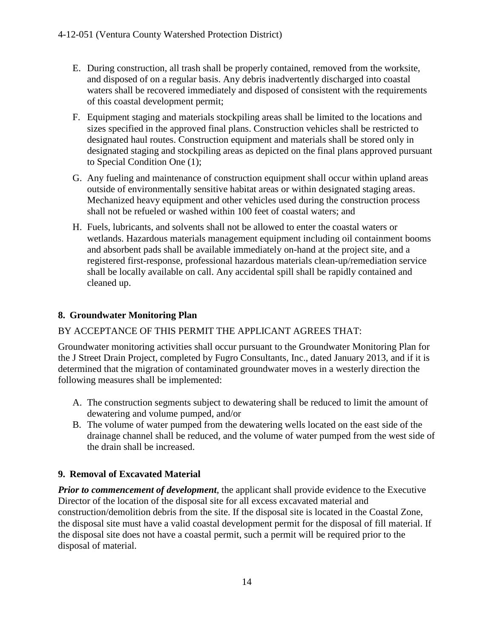- E. During construction, all trash shall be properly contained, removed from the worksite, and disposed of on a regular basis. Any debris inadvertently discharged into coastal waters shall be recovered immediately and disposed of consistent with the requirements of this coastal development permit;
- F. Equipment staging and materials stockpiling areas shall be limited to the locations and sizes specified in the approved final plans. Construction vehicles shall be restricted to designated haul routes. Construction equipment and materials shall be stored only in designated staging and stockpiling areas as depicted on the final plans approved pursuant to Special Condition One (1);
- G. Any fueling and maintenance of construction equipment shall occur within upland areas outside of environmentally sensitive habitat areas or within designated staging areas. Mechanized heavy equipment and other vehicles used during the construction process shall not be refueled or washed within 100 feet of coastal waters; and
- H. Fuels, lubricants, and solvents shall not be allowed to enter the coastal waters or wetlands. Hazardous materials management equipment including oil containment booms and absorbent pads shall be available immediately on-hand at the project site, and a registered first-response, professional hazardous materials clean-up/remediation service shall be locally available on call. Any accidental spill shall be rapidly contained and cleaned up.

#### <span id="page-17-0"></span>**8. Groundwater Monitoring Plan**

#### BY ACCEPTANCE OF THIS PERMIT THE APPLICANT AGREES THAT:

Groundwater monitoring activities shall occur pursuant to the Groundwater Monitoring Plan for the J Street Drain Project, completed by Fugro Consultants, Inc., dated January 2013, and if it is determined that the migration of contaminated groundwater moves in a westerly direction the following measures shall be implemented:

- A. The construction segments subject to dewatering shall be reduced to limit the amount of dewatering and volume pumped, and/or
- B. The volume of water pumped from the dewatering wells located on the east side of the drainage channel shall be reduced, and the volume of water pumped from the west side of the drain shall be increased.

#### <span id="page-17-1"></span>**9. Removal of Excavated Material**

*Prior to commencement of development*, the applicant shall provide evidence to the Executive Director of the location of the disposal site for all excess excavated material and construction/demolition debris from the site. If the disposal site is located in the Coastal Zone, the disposal site must have a valid coastal development permit for the disposal of fill material. If the disposal site does not have a coastal permit, such a permit will be required prior to the disposal of material.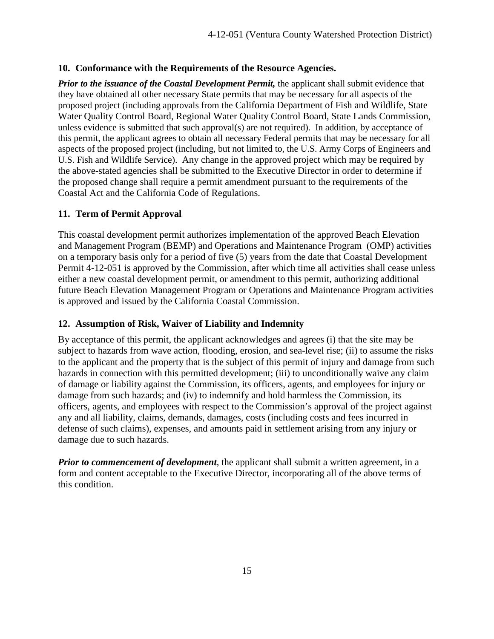#### <span id="page-18-0"></span>**10. Conformance with the Requirements of the Resource Agencies.**

*Prior to the issuance of the Coastal Development Permit, the applicant shall submit evidence that* they have obtained all other necessary State permits that may be necessary for all aspects of the proposed project (including approvals from the California Department of Fish and Wildlife, State Water Quality Control Board, Regional Water Quality Control Board, State Lands Commission, unless evidence is submitted that such approval(s) are not required). In addition, by acceptance of this permit, the applicant agrees to obtain all necessary Federal permits that may be necessary for all aspects of the proposed project (including, but not limited to, the U.S. Army Corps of Engineers and U.S. Fish and Wildlife Service). Any change in the approved project which may be required by the above-stated agencies shall be submitted to the Executive Director in order to determine if the proposed change shall require a permit amendment pursuant to the requirements of the Coastal Act and the California Code of Regulations.

#### <span id="page-18-1"></span>**11. Term of Permit Approval**

This coastal development permit authorizes implementation of the approved Beach Elevation and Management Program (BEMP) and Operations and Maintenance Program (OMP) activities on a temporary basis only for a period of five (5) years from the date that Coastal Development Permit 4-12-051 is approved by the Commission, after which time all activities shall cease unless either a new coastal development permit, or amendment to this permit, authorizing additional future Beach Elevation Management Program or Operations and Maintenance Program activities is approved and issued by the California Coastal Commission.

#### <span id="page-18-2"></span>**12. Assumption of Risk, Waiver of Liability and Indemnity**

By acceptance of this permit, the applicant acknowledges and agrees (i) that the site may be subject to hazards from wave action, flooding, erosion, and sea-level rise; (ii) to assume the risks to the applicant and the property that is the subject of this permit of injury and damage from such hazards in connection with this permitted development; (iii) to unconditionally waive any claim of damage or liability against the Commission, its officers, agents, and employees for injury or damage from such hazards; and (iv) to indemnify and hold harmless the Commission, its officers, agents, and employees with respect to the Commission's approval of the project against any and all liability, claims, demands, damages, costs (including costs and fees incurred in defense of such claims), expenses, and amounts paid in settlement arising from any injury or damage due to such hazards.

*Prior to commencement of development*, the applicant shall submit a written agreement, in a form and content acceptable to the Executive Director, incorporating all of the above terms of this condition.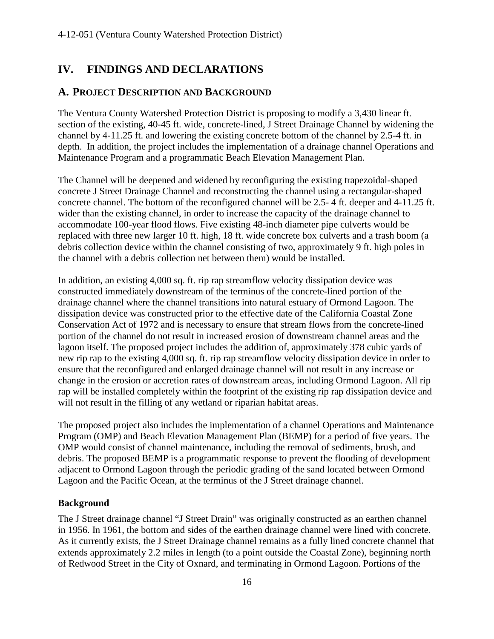# <span id="page-19-0"></span>**IV. FINDINGS AND DECLARATIONS**

### <span id="page-19-1"></span>**A. PROJECT DESCRIPTION AND BACKGROUND**

The Ventura County Watershed Protection District is proposing to modify a 3,430 linear ft. section of the existing, 40-45 ft. wide, concrete-lined, J Street Drainage Channel by widening the channel by 4-11.25 ft. and lowering the existing concrete bottom of the channel by 2.5-4 ft. in depth. In addition, the project includes the implementation of a drainage channel Operations and Maintenance Program and a programmatic Beach Elevation Management Plan.

The Channel will be deepened and widened by reconfiguring the existing trapezoidal-shaped concrete J Street Drainage Channel and reconstructing the channel using a rectangular-shaped concrete channel. The bottom of the reconfigured channel will be 2.5- 4 ft. deeper and 4-11.25 ft. wider than the existing channel, in order to increase the capacity of the drainage channel to accommodate 100-year flood flows. Five existing 48-inch diameter pipe culverts would be replaced with three new larger 10 ft. high, 18 ft. wide concrete box culverts and a trash boom (a debris collection device within the channel consisting of two, approximately 9 ft. high poles in the channel with a debris collection net between them) would be installed.

In addition, an existing 4,000 sq. ft. rip rap streamflow velocity dissipation device was constructed immediately downstream of the terminus of the concrete-lined portion of the drainage channel where the channel transitions into natural estuary of Ormond Lagoon. The dissipation device was constructed prior to the effective date of the California Coastal Zone Conservation Act of 1972 and is necessary to ensure that stream flows from the concrete-lined portion of the channel do not result in increased erosion of downstream channel areas and the lagoon itself. The proposed project includes the addition of, approximately 378 cubic yards of new rip rap to the existing 4,000 sq. ft. rip rap streamflow velocity dissipation device in order to ensure that the reconfigured and enlarged drainage channel will not result in any increase or change in the erosion or accretion rates of downstream areas, including Ormond Lagoon. All rip rap will be installed completely within the footprint of the existing rip rap dissipation device and will not result in the filling of any wetland or riparian habitat areas.

The proposed project also includes the implementation of a channel Operations and Maintenance Program (OMP) and Beach Elevation Management Plan (BEMP) for a period of five years. The OMP would consist of channel maintenance, including the removal of sediments, brush, and debris. The proposed BEMP is a programmatic response to prevent the flooding of development adjacent to Ormond Lagoon through the periodic grading of the sand located between Ormond Lagoon and the Pacific Ocean, at the terminus of the J Street drainage channel.

#### **Background**

The J Street drainage channel "J Street Drain" was originally constructed as an earthen channel in 1956. In 1961, the bottom and sides of the earthen drainage channel were lined with concrete. As it currently exists, the J Street Drainage channel remains as a fully lined concrete channel that extends approximately 2.2 miles in length (to a point outside the Coastal Zone), beginning north of Redwood Street in the City of Oxnard, and terminating in Ormond Lagoon. Portions of the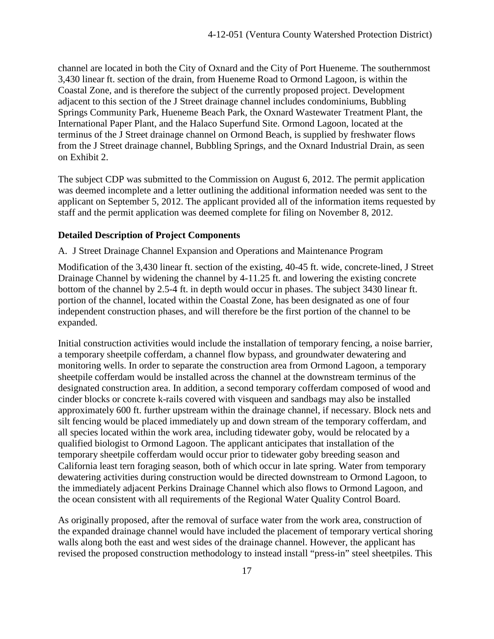channel are located in both the City of Oxnard and the City of Port Hueneme. The southernmost 3,430 linear ft. section of the drain, from Hueneme Road to Ormond Lagoon, is within the Coastal Zone, and is therefore the subject of the currently proposed project. Development adjacent to this section of the J Street drainage channel includes condominiums, Bubbling Springs Community Park, Hueneme Beach Park, the Oxnard Wastewater Treatment Plant, the International Paper Plant, and the Halaco Superfund Site. Ormond Lagoon, located at the terminus of the J Street drainage channel on Ormond Beach, is supplied by freshwater flows from the J Street drainage channel, Bubbling Springs, and the Oxnard Industrial Drain, as seen on Exhibit 2.

The subject CDP was submitted to the Commission on August 6, 2012. The permit application was deemed incomplete and a letter outlining the additional information needed was sent to the applicant on September 5, 2012. The applicant provided all of the information items requested by staff and the permit application was deemed complete for filing on November 8, 2012.

#### **Detailed Description of Project Components**

A. J Street Drainage Channel Expansion and Operations and Maintenance Program

Modification of the 3,430 linear ft. section of the existing, 40-45 ft. wide, concrete-lined, J Street Drainage Channel by widening the channel by 4-11.25 ft. and lowering the existing concrete bottom of the channel by 2.5-4 ft. in depth would occur in phases. The subject 3430 linear ft. portion of the channel, located within the Coastal Zone, has been designated as one of four independent construction phases, and will therefore be the first portion of the channel to be expanded.

Initial construction activities would include the installation of temporary fencing, a noise barrier, a temporary sheetpile cofferdam, a channel flow bypass, and groundwater dewatering and monitoring wells. In order to separate the construction area from Ormond Lagoon, a temporary sheetpile cofferdam would be installed across the channel at the downstream terminus of the designated construction area. In addition, a second temporary cofferdam composed of wood and cinder blocks or concrete k-rails covered with visqueen and sandbags may also be installed approximately 600 ft. further upstream within the drainage channel, if necessary. Block nets and silt fencing would be placed immediately up and down stream of the temporary cofferdam, and all species located within the work area, including tidewater goby, would be relocated by a qualified biologist to Ormond Lagoon. The applicant anticipates that installation of the temporary sheetpile cofferdam would occur prior to tidewater goby breeding season and California least tern foraging season, both of which occur in late spring. Water from temporary dewatering activities during construction would be directed downstream to Ormond Lagoon, to the immediately adjacent Perkins Drainage Channel which also flows to Ormond Lagoon, and the ocean consistent with all requirements of the Regional Water Quality Control Board.

As originally proposed, after the removal of surface water from the work area, construction of the expanded drainage channel would have included the placement of temporary vertical shoring walls along both the east and west sides of the drainage channel. However, the applicant has revised the proposed construction methodology to instead install "press-in" steel sheetpiles. This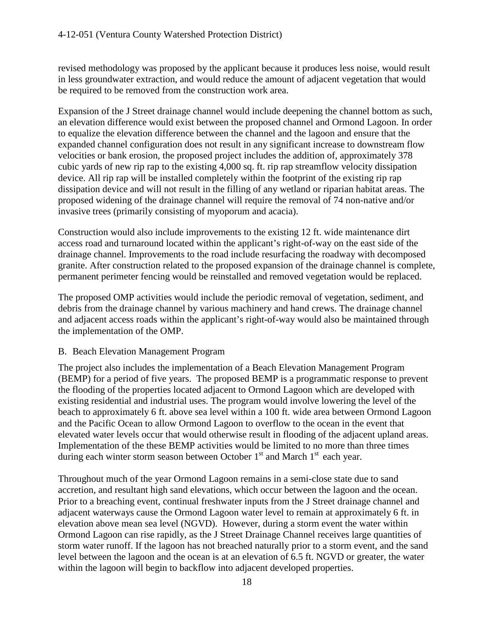revised methodology was proposed by the applicant because it produces less noise, would result in less groundwater extraction, and would reduce the amount of adjacent vegetation that would be required to be removed from the construction work area.

Expansion of the J Street drainage channel would include deepening the channel bottom as such, an elevation difference would exist between the proposed channel and Ormond Lagoon. In order to equalize the elevation difference between the channel and the lagoon and ensure that the expanded channel configuration does not result in any significant increase to downstream flow velocities or bank erosion, the proposed project includes the addition of, approximately 378 cubic yards of new rip rap to the existing 4,000 sq. ft. rip rap streamflow velocity dissipation device. All rip rap will be installed completely within the footprint of the existing rip rap dissipation device and will not result in the filling of any wetland or riparian habitat areas. The proposed widening of the drainage channel will require the removal of 74 non-native and/or invasive trees (primarily consisting of myoporum and acacia).

Construction would also include improvements to the existing 12 ft. wide maintenance dirt access road and turnaround located within the applicant's right-of-way on the east side of the drainage channel. Improvements to the road include resurfacing the roadway with decomposed granite. After construction related to the proposed expansion of the drainage channel is complete, permanent perimeter fencing would be reinstalled and removed vegetation would be replaced.

The proposed OMP activities would include the periodic removal of vegetation, sediment, and debris from the drainage channel by various machinery and hand crews. The drainage channel and adjacent access roads within the applicant's right-of-way would also be maintained through the implementation of the OMP.

#### B. Beach Elevation Management Program

The project also includes the implementation of a Beach Elevation Management Program (BEMP) for a period of five years. The proposed BEMP is a programmatic response to prevent the flooding of the properties located adjacent to Ormond Lagoon which are developed with existing residential and industrial uses. The program would involve lowering the level of the beach to approximately 6 ft. above sea level within a 100 ft. wide area between Ormond Lagoon and the Pacific Ocean to allow Ormond Lagoon to overflow to the ocean in the event that elevated water levels occur that would otherwise result in flooding of the adjacent upland areas. Implementation of the these BEMP activities would be limited to no more than three times during each winter storm season between October  $1<sup>st</sup>$  and March  $1<sup>st</sup>$  each year.

Throughout much of the year Ormond Lagoon remains in a semi-close state due to sand accretion, and resultant high sand elevations, which occur between the lagoon and the ocean. Prior to a breaching event, continual freshwater inputs from the J Street drainage channel and adjacent waterways cause the Ormond Lagoon water level to remain at approximately 6 ft. in elevation above mean sea level (NGVD). However, during a storm event the water within Ormond Lagoon can rise rapidly, as the J Street Drainage Channel receives large quantities of storm water runoff. If the lagoon has not breached naturally prior to a storm event, and the sand level between the lagoon and the ocean is at an elevation of 6.5 ft. NGVD or greater, the water within the lagoon will begin to backflow into adjacent developed properties.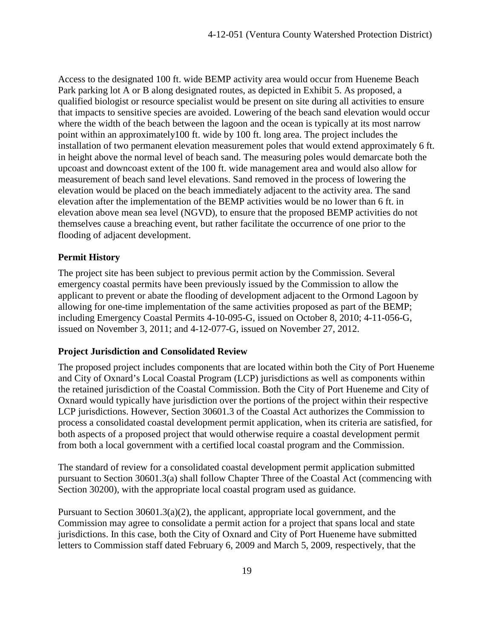Access to the designated 100 ft. wide BEMP activity area would occur from Hueneme Beach Park parking lot A or B along designated routes, as depicted in Exhibit 5. As proposed, a qualified biologist or resource specialist would be present on site during all activities to ensure that impacts to sensitive species are avoided. Lowering of the beach sand elevation would occur where the width of the beach between the lagoon and the ocean is typically at its most narrow point within an approximately100 ft. wide by 100 ft. long area. The project includes the installation of two permanent elevation measurement poles that would extend approximately 6 ft. in height above the normal level of beach sand. The measuring poles would demarcate both the upcoast and downcoast extent of the 100 ft. wide management area and would also allow for measurement of beach sand level elevations. Sand removed in the process of lowering the elevation would be placed on the beach immediately adjacent to the activity area. The sand elevation after the implementation of the BEMP activities would be no lower than 6 ft. in elevation above mean sea level (NGVD), to ensure that the proposed BEMP activities do not themselves cause a breaching event, but rather facilitate the occurrence of one prior to the flooding of adjacent development.

#### **Permit History**

The project site has been subject to previous permit action by the Commission. Several emergency coastal permits have been previously issued by the Commission to allow the applicant to prevent or abate the flooding of development adjacent to the Ormond Lagoon by allowing for one-time implementation of the same activities proposed as part of the BEMP; including Emergency Coastal Permits 4-10-095-G, issued on October 8, 2010; 4-11-056-G, issued on November 3, 2011; and 4-12-077-G, issued on November 27, 2012.

#### **Project Jurisdiction and Consolidated Review**

The proposed project includes components that are located within both the City of Port Hueneme and City of Oxnard's Local Coastal Program (LCP) jurisdictions as well as components within the retained jurisdiction of the Coastal Commission. Both the City of Port Hueneme and City of Oxnard would typically have jurisdiction over the portions of the project within their respective LCP jurisdictions. However, Section 30601.3 of the Coastal Act authorizes the Commission to process a consolidated coastal development permit application, when its criteria are satisfied, for both aspects of a proposed project that would otherwise require a coastal development permit from both a local government with a certified local coastal program and the Commission.

The standard of review for a consolidated coastal development permit application submitted pursuant to Section 30601.3(a) shall follow Chapter Three of the Coastal Act (commencing with Section 30200), with the appropriate local coastal program used as guidance.

Pursuant to Section 30601.3(a)(2), the applicant, appropriate local government, and the Commission may agree to consolidate a permit action for a project that spans local and state jurisdictions. In this case, both the City of Oxnard and City of Port Hueneme have submitted letters to Commission staff dated February 6, 2009 and March 5, 2009, respectively, that the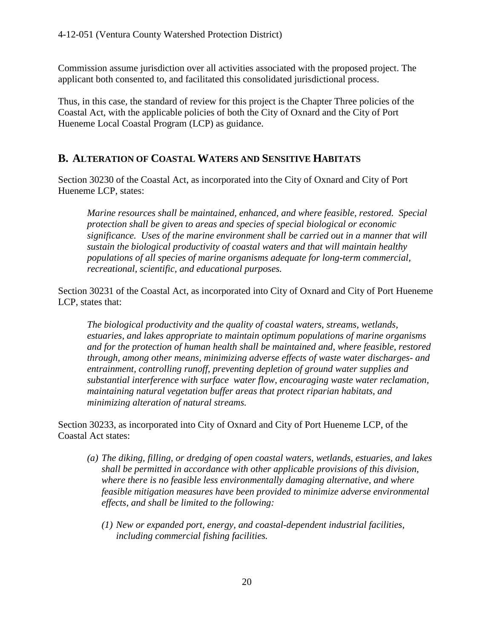Commission assume jurisdiction over all activities associated with the proposed project. The applicant both consented to, and facilitated this consolidated jurisdictional process.

Thus, in this case, the standard of review for this project is the Chapter Three policies of the Coastal Act, with the applicable policies of both the City of Oxnard and the City of Port Hueneme Local Coastal Program (LCP) as guidance.

## <span id="page-23-0"></span>**B. ALTERATION OF COASTAL WATERS AND SENSITIVE HABITATS**

Section 30230 of the Coastal Act, as incorporated into the City of Oxnard and City of Port Hueneme LCP, states:

*Marine resources shall be maintained, enhanced, and where feasible, restored. Special protection shall be given to areas and species of special biological or economic significance. Uses of the marine environment shall be carried out in a manner that will sustain the biological productivity of coastal waters and that will maintain healthy populations of all species of marine organisms adequate for long-term commercial, recreational, scientific, and educational purposes.*

Section 30231 of the Coastal Act, as incorporated into City of Oxnard and City of Port Hueneme LCP, states that:

*The biological productivity and the quality of coastal waters, streams, wetlands, estuaries, and lakes appropriate to maintain optimum populations of marine organisms and for the protection of human health shall be maintained and, where feasible, restored through, among other means, minimizing adverse effects of waste water discharges- and entrainment, controlling runoff, preventing depletion of ground water supplies and substantial interference with surface water flow, encouraging waste water reclamation, maintaining natural vegetation buffer areas that protect riparian habitats, and minimizing alteration of natural streams.*

Section 30233, as incorporated into City of Oxnard and City of Port Hueneme LCP, of the Coastal Act states:

- *(a) The diking, filling, or dredging of open coastal waters, wetlands, estuaries, and lakes shall be permitted in accordance with other applicable provisions of this division, where there is no feasible less environmentally damaging alternative, and where feasible mitigation measures have been provided to minimize adverse environmental effects, and shall be limited to the following:*
	- *(1) New or expanded port, energy, and coastal-dependent industrial facilities, including commercial fishing facilities.*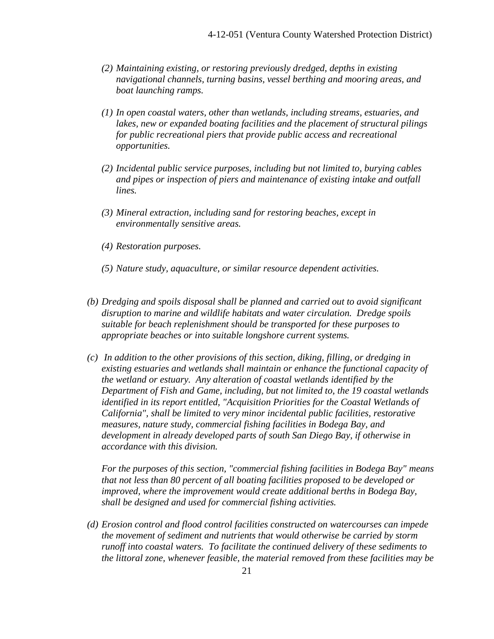- *(2) Maintaining existing, or restoring previously dredged, depths in existing navigational channels, turning basins, vessel berthing and mooring areas, and boat launching ramps.*
- *(1) In open coastal waters, other than wetlands, including streams, estuaries, and lakes, new or expanded boating facilities and the placement of structural pilings for public recreational piers that provide public access and recreational opportunities.*
- *(2) Incidental public service purposes, including but not limited to, burying cables and pipes or inspection of piers and maintenance of existing intake and outfall lines.*
- *(3) Mineral extraction, including sand for restoring beaches, except in environmentally sensitive areas.*
- *(4) Restoration purposes.*
- *(5) Nature study, aquaculture, or similar resource dependent activities.*
- *(b) Dredging and spoils disposal shall be planned and carried out to avoid significant disruption to marine and wildlife habitats and water circulation. Dredge spoils suitable for beach replenishment should be transported for these purposes to appropriate beaches or into suitable longshore current systems.*
- *(c) In addition to the other provisions of this section, diking, filling, or dredging in existing estuaries and wetlands shall maintain or enhance the functional capacity of the wetland or estuary. Any alteration of coastal wetlands identified by the Department of Fish and Game, including, but not limited to, the 19 coastal wetlands identified in its report entitled, "Acquisition Priorities for the Coastal Wetlands of California", shall be limited to very minor incidental public facilities, restorative measures, nature study, commercial fishing facilities in Bodega Bay, and development in already developed parts of south San Diego Bay, if otherwise in accordance with this division.*

*For the purposes of this section, "commercial fishing facilities in Bodega Bay" means that not less than 80 percent of all boating facilities proposed to be developed or improved, where the improvement would create additional berths in Bodega Bay, shall be designed and used for commercial fishing activities.* 

*(d) Erosion control and flood control facilities constructed on watercourses can impede the movement of sediment and nutrients that would otherwise be carried by storm runoff into coastal waters. To facilitate the continued delivery of these sediments to the littoral zone, whenever feasible, the material removed from these facilities may be*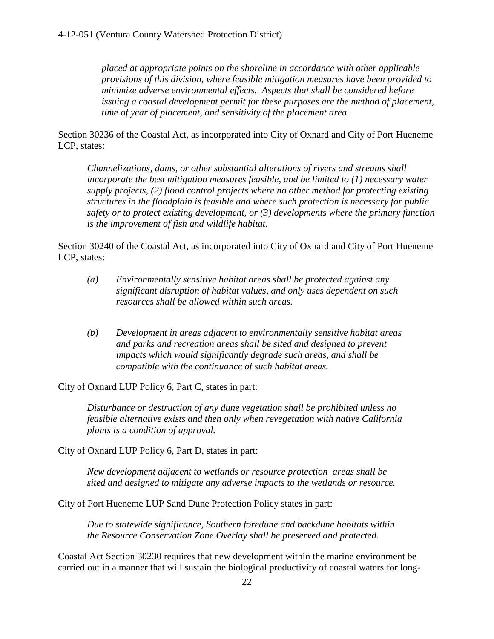*placed at appropriate points on the shoreline in accordance with other applicable provisions of this division, where feasible mitigation measures have been provided to minimize adverse environmental effects. Aspects that shall be considered before issuing a coastal development permit for these purposes are the method of placement, time of year of placement, and sensitivity of the placement area.*

Section 30236 of the Coastal Act, as incorporated into City of Oxnard and City of Port Hueneme LCP, states:

*Channelizations, dams, or other substantial alterations of rivers and streams shall incorporate the best mitigation measures feasible, and be limited to (1) necessary water supply projects, (2) flood control projects where no other method for protecting existing structures in the floodplain is feasible and where such protection is necessary for public safety or to protect existing development, or (3) developments where the primary function is the improvement of fish and wildlife habitat.* 

Section 30240 of the Coastal Act, as incorporated into City of Oxnard and City of Port Hueneme LCP, states:

- *(a) Environmentally sensitive habitat areas shall be protected against any significant disruption of habitat values, and only uses dependent on such resources shall be allowed within such areas.*
- *(b) Development in areas adjacent to environmentally sensitive habitat areas and parks and recreation areas shall be sited and designed to prevent impacts which would significantly degrade such areas, and shall be compatible with the continuance of such habitat areas.*

City of Oxnard LUP Policy 6, Part C, states in part:

*Disturbance or destruction of any dune vegetation shall be prohibited unless no feasible alternative exists and then only when revegetation with native California plants is a condition of approval.*

City of Oxnard LUP Policy 6, Part D, states in part:

*New development adjacent to wetlands or resource protection areas shall be sited and designed to mitigate any adverse impacts to the wetlands or resource.* 

City of Port Hueneme LUP Sand Dune Protection Policy states in part:

*Due to statewide significance, Southern foredune and backdune habitats within the Resource Conservation Zone Overlay shall be preserved and protected.* 

Coastal Act Section 30230 requires that new development within the marine environment be carried out in a manner that will sustain the biological productivity of coastal waters for long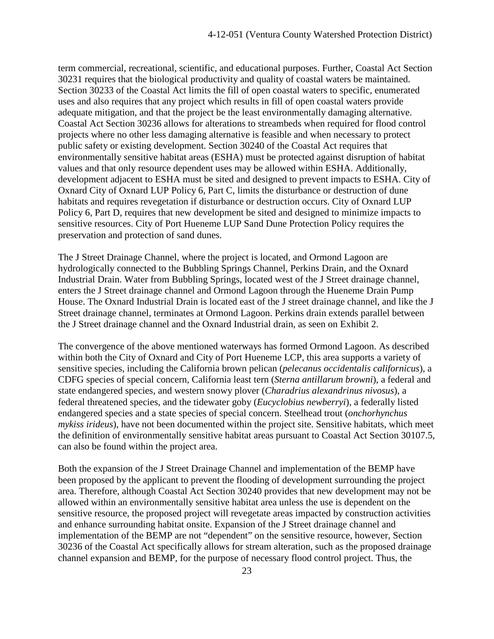term commercial, recreational, scientific, and educational purposes. Further, Coastal Act Section 30231 requires that the biological productivity and quality of coastal waters be maintained. Section 30233 of the Coastal Act limits the fill of open coastal waters to specific, enumerated uses and also requires that any project which results in fill of open coastal waters provide adequate mitigation, and that the project be the least environmentally damaging alternative. Coastal Act Section 30236 allows for alterations to streambeds when required for flood control projects where no other less damaging alternative is feasible and when necessary to protect public safety or existing development. Section 30240 of the Coastal Act requires that environmentally sensitive habitat areas (ESHA) must be protected against disruption of habitat values and that only resource dependent uses may be allowed within ESHA. Additionally, development adjacent to ESHA must be sited and designed to prevent impacts to ESHA. City of Oxnard City of Oxnard LUP Policy 6, Part C, limits the disturbance or destruction of dune habitats and requires revegetation if disturbance or destruction occurs. City of Oxnard LUP Policy 6, Part D, requires that new development be sited and designed to minimize impacts to sensitive resources. City of Port Hueneme LUP Sand Dune Protection Policy requires the preservation and protection of sand dunes.

The J Street Drainage Channel, where the project is located, and Ormond Lagoon are hydrologically connected to the Bubbling Springs Channel, Perkins Drain, and the Oxnard Industrial Drain. Water from Bubbling Springs, located west of the J Street drainage channel, enters the J Street drainage channel and Ormond Lagoon through the Hueneme Drain Pump House. The Oxnard Industrial Drain is located east of the J street drainage channel, and like the J Street drainage channel, terminates at Ormond Lagoon. Perkins drain extends parallel between the J Street drainage channel and the Oxnard Industrial drain, as seen on Exhibit 2.

The convergence of the above mentioned waterways has formed Ormond Lagoon. As described within both the City of Oxnard and City of Port Hueneme LCP, this area supports a variety of sensitive species, including the California brown pelican (*pelecanus occidentalis californicus*), a CDFG species of special concern, California least tern (*Sterna antillarum browni*), a federal and state endangered species, and western snowy plover (*Charadrius alexandrinus nivosus*), a federal threatened species, and the tidewater goby (*Eucyclobius newberryi*), a federally listed endangered species and a state species of special concern. Steelhead trout (*onchorhynchus mykiss irideus*), have not been documented within the project site. Sensitive habitats, which meet the definition of environmentally sensitive habitat areas pursuant to Coastal Act Section 30107.5, can also be found within the project area.

Both the expansion of the J Street Drainage Channel and implementation of the BEMP have been proposed by the applicant to prevent the flooding of development surrounding the project area. Therefore, although Coastal Act Section 30240 provides that new development may not be allowed within an environmentally sensitive habitat area unless the use is dependent on the sensitive resource, the proposed project will revegetate areas impacted by construction activities and enhance surrounding habitat onsite. Expansion of the J Street drainage channel and implementation of the BEMP are not "dependent" on the sensitive resource, however, Section 30236 of the Coastal Act specifically allows for stream alteration, such as the proposed drainage channel expansion and BEMP, for the purpose of necessary flood control project. Thus, the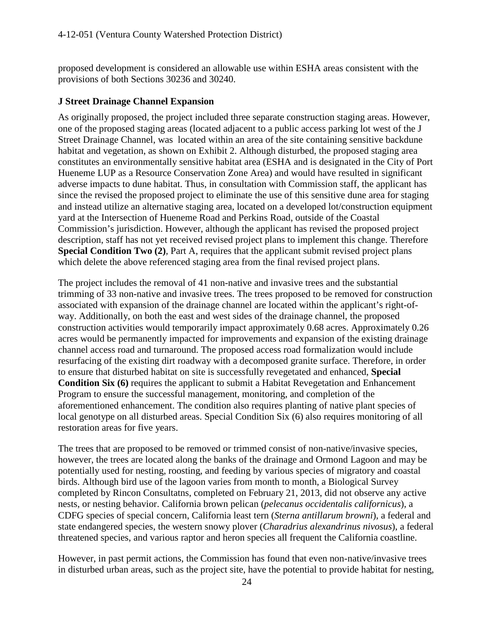proposed development is considered an allowable use within ESHA areas consistent with the provisions of both Sections 30236 and 30240.

#### **J Street Drainage Channel Expansion**

As originally proposed, the project included three separate construction staging areas. However, one of the proposed staging areas (located adjacent to a public access parking lot west of the J Street Drainage Channel, was located within an area of the site containing sensitive backdune habitat and vegetation, as shown on Exhibit 2. Although disturbed, the proposed staging area constitutes an environmentally sensitive habitat area (ESHA and is designated in the City of Port Hueneme LUP as a Resource Conservation Zone Area) and would have resulted in significant adverse impacts to dune habitat. Thus, in consultation with Commission staff, the applicant has since the revised the proposed project to eliminate the use of this sensitive dune area for staging and instead utilize an alternative staging area, located on a developed lot/construction equipment yard at the Intersection of Hueneme Road and Perkins Road, outside of the Coastal Commission's jurisdiction. However, although the applicant has revised the proposed project description, staff has not yet received revised project plans to implement this change. Therefore **Special Condition Two (2), Part A, requires that the applicant submit revised project plans** which delete the above referenced staging area from the final revised project plans.

The project includes the removal of 41 non-native and invasive trees and the substantial trimming of 33 non-native and invasive trees. The trees proposed to be removed for construction associated with expansion of the drainage channel are located within the applicant's right-ofway. Additionally, on both the east and west sides of the drainage channel, the proposed construction activities would temporarily impact approximately 0.68 acres. Approximately 0.26 acres would be permanently impacted for improvements and expansion of the existing drainage channel access road and turnaround. The proposed access road formalization would include resurfacing of the existing dirt roadway with a decomposed granite surface. Therefore, in order to ensure that disturbed habitat on site is successfully revegetated and enhanced, **Special Condition Six (6)** requires the applicant to submit a Habitat Revegetation and Enhancement Program to ensure the successful management, monitoring, and completion of the aforementioned enhancement. The condition also requires planting of native plant species of local genotype on all disturbed areas. Special Condition Six (6) also requires monitoring of all restoration areas for five years.

The trees that are proposed to be removed or trimmed consist of non-native/invasive species, however, the trees are located along the banks of the drainage and Ormond Lagoon and may be potentially used for nesting, roosting, and feeding by various species of migratory and coastal birds. Although bird use of the lagoon varies from month to month, a Biological Survey completed by Rincon Consultatns, completed on February 21, 2013, did not observe any active nests, or nesting behavior. California brown pelican (*pelecanus occidentalis californicus*), a CDFG species of special concern, California least tern (*Sterna antillarum browni*), a federal and state endangered species, the western snowy plover (*Charadrius alexandrinus nivosus*), a federal threatened species, and various raptor and heron species all frequent the California coastline.

However, in past permit actions, the Commission has found that even non-native/invasive trees in disturbed urban areas, such as the project site, have the potential to provide habitat for nesting,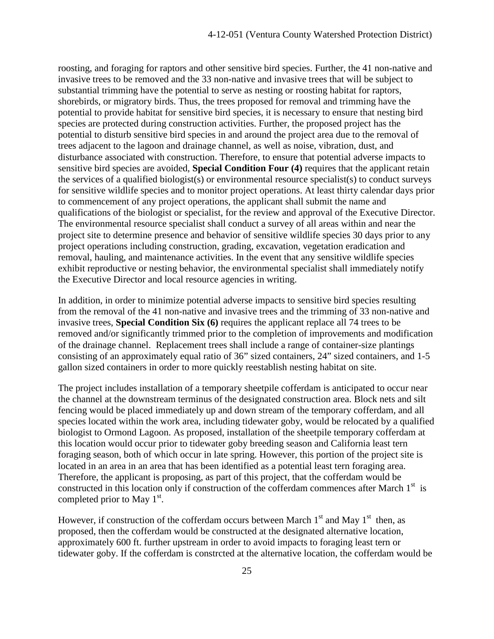roosting, and foraging for raptors and other sensitive bird species. Further, the 41 non-native and invasive trees to be removed and the 33 non-native and invasive trees that will be subject to substantial trimming have the potential to serve as nesting or roosting habitat for raptors, shorebirds, or migratory birds. Thus, the trees proposed for removal and trimming have the potential to provide habitat for sensitive bird species, it is necessary to ensure that nesting bird species are protected during construction activities. Further, the proposed project has the potential to disturb sensitive bird species in and around the project area due to the removal of trees adjacent to the lagoon and drainage channel, as well as noise, vibration, dust, and disturbance associated with construction. Therefore, to ensure that potential adverse impacts to sensitive bird species are avoided, **Special Condition Four (4)** requires that the applicant retain the services of a qualified biologist(s) or environmental resource specialist(s) to conduct surveys for sensitive wildlife species and to monitor project operations. At least thirty calendar days prior to commencement of any project operations, the applicant shall submit the name and qualifications of the biologist or specialist, for the review and approval of the Executive Director. The environmental resource specialist shall conduct a survey of all areas within and near the project site to determine presence and behavior of sensitive wildlife species 30 days prior to any project operations including construction, grading, excavation, vegetation eradication and removal, hauling, and maintenance activities. In the event that any sensitive wildlife species exhibit reproductive or nesting behavior, the environmental specialist shall immediately notify the Executive Director and local resource agencies in writing.

In addition, in order to minimize potential adverse impacts to sensitive bird species resulting from the removal of the 41 non-native and invasive trees and the trimming of 33 non-native and invasive trees, **Special Condition Six (6)** requires the applicant replace all 74 trees to be removed and/or significantly trimmed prior to the completion of improvements and modification of the drainage channel. Replacement trees shall include a range of container-size plantings consisting of an approximately equal ratio of 36" sized containers, 24" sized containers, and 1-5 gallon sized containers in order to more quickly reestablish nesting habitat on site.

The project includes installation of a temporary sheetpile cofferdam is anticipated to occur near the channel at the downstream terminus of the designated construction area. Block nets and silt fencing would be placed immediately up and down stream of the temporary cofferdam, and all species located within the work area, including tidewater goby, would be relocated by a qualified biologist to Ormond Lagoon. As proposed, installation of the sheetpile temporary cofferdam at this location would occur prior to tidewater goby breeding season and California least tern foraging season, both of which occur in late spring. However, this portion of the project site is located in an area in an area that has been identified as a potential least tern foraging area. Therefore, the applicant is proposing, as part of this project, that the cofferdam would be constructed in this location only if construction of the cofferdam commences after March  $1<sup>st</sup>$  is completed prior to May  $1<sup>st</sup>$ .

However, if construction of the cofferdam occurs between March  $1<sup>st</sup>$  and May  $1<sup>st</sup>$  then, as proposed, then the cofferdam would be constructed at the designated alternative location, approximately 600 ft. further upstream in order to avoid impacts to foraging least tern or tidewater goby. If the cofferdam is constrcted at the alternative location, the cofferdam would be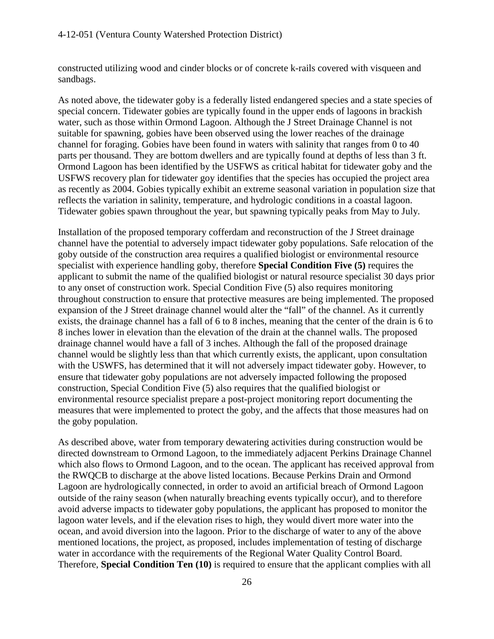constructed utilizing wood and cinder blocks or of concrete k-rails covered with visqueen and sandbags.

As noted above, the tidewater goby is a federally listed endangered species and a state species of special concern. Tidewater gobies are typically found in the upper ends of lagoons in brackish water, such as those within Ormond Lagoon. Although the J Street Drainage Channel is not suitable for spawning, gobies have been observed using the lower reaches of the drainage channel for foraging. Gobies have been found in waters with salinity that ranges from 0 to 40 parts per thousand. They are bottom dwellers and are typically found at depths of less than 3 ft. Ormond Lagoon has been identified by the USFWS as critical habitat for tidewater goby and the USFWS recovery plan for tidewater goy identifies that the species has occupied the project area as recently as 2004. Gobies typically exhibit an extreme seasonal variation in population size that reflects the variation in salinity, temperature, and hydrologic conditions in a coastal lagoon. Tidewater gobies spawn throughout the year, but spawning typically peaks from May to July.

Installation of the proposed temporary cofferdam and reconstruction of the J Street drainage channel have the potential to adversely impact tidewater goby populations. Safe relocation of the goby outside of the construction area requires a qualified biologist or environmental resource specialist with experience handling goby, therefore **Special Condition Five (5)** requires the applicant to submit the name of the qualified biologist or natural resource specialist 30 days prior to any onset of construction work. Special Condition Five (5) also requires monitoring throughout construction to ensure that protective measures are being implemented. The proposed expansion of the J Street drainage channel would alter the "fall" of the channel. As it currently exists, the drainage channel has a fall of 6 to 8 inches, meaning that the center of the drain is 6 to 8 inches lower in elevation than the elevation of the drain at the channel walls. The proposed drainage channel would have a fall of 3 inches. Although the fall of the proposed drainage channel would be slightly less than that which currently exists, the applicant, upon consultation with the USWFS, has determined that it will not adversely impact tidewater goby. However, to ensure that tidewater goby populations are not adversely impacted following the proposed construction, Special Condition Five (5) also requires that the qualified biologist or environmental resource specialist prepare a post-project monitoring report documenting the measures that were implemented to protect the goby, and the affects that those measures had on the goby population.

As described above, water from temporary dewatering activities during construction would be directed downstream to Ormond Lagoon, to the immediately adjacent Perkins Drainage Channel which also flows to Ormond Lagoon, and to the ocean. The applicant has received approval from the RWQCB to discharge at the above listed locations. Because Perkins Drain and Ormond Lagoon are hydrologically connected, in order to avoid an artificial breach of Ormond Lagoon outside of the rainy season (when naturally breaching events typically occur), and to therefore avoid adverse impacts to tidewater goby populations, the applicant has proposed to monitor the lagoon water levels, and if the elevation rises to high, they would divert more water into the ocean, and avoid diversion into the lagoon. Prior to the discharge of water to any of the above mentioned locations, the project, as proposed, includes implementation of testing of discharge water in accordance with the requirements of the Regional Water Quality Control Board. Therefore, **Special Condition Ten (10)** is required to ensure that the applicant complies with all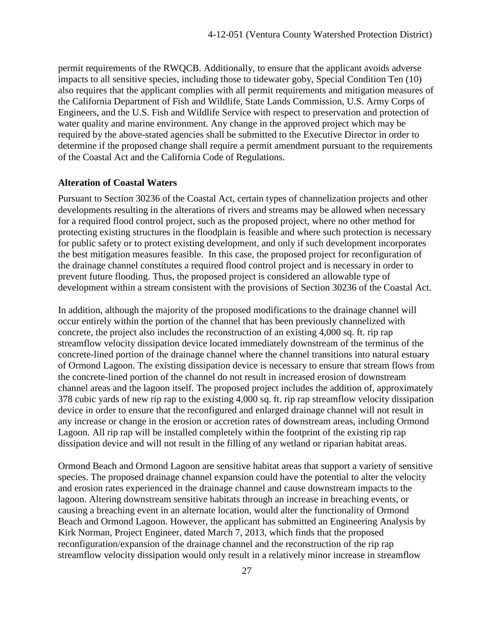permit requirements of the RWQCB. Additionally, to ensure that the applicant avoids adverse impacts to all sensitive species, including those to tidewater goby, Special Condition Ten (10) also requires that the applicant complies with all permit requirements and mitigation measures of the California Department of Fish and Wildlife, State Lands Commission, U.S. Army Corps of Engineers, and the U.S. Fish and Wildlife Service with respect to preservation and protection of water quality and marine environment. Any change in the approved project which may be required by the above-stated agencies shall be submitted to the Executive Director in order to determine if the proposed change shall require a permit amendment pursuant to the requirements of the Coastal Act and the California Code of Regulations.

#### **Alteration of Coastal Waters**

Pursuant to Section 30236 of the Coastal Act, certain types of channelization projects and other developments resulting in the alterations of rivers and streams may be allowed when necessary for a required flood control project, such as the proposed project, where no other method for protecting existing structures in the floodplain is feasible and where such protection is necessary for public safety or to protect existing development, and only if such development incorporates the best mitigation measures feasible. In this case, the proposed project for reconfiguration of the drainage channel constitutes a required flood control project and is necessary in order to prevent future flooding. Thus, the proposed project is considered an allowable type of development within a stream consistent with the provisions of Section 30236 of the Coastal Act.

In addition, although the majority of the proposed modifications to the drainage channel will occur entirely within the portion of the channel that has been previously channelized with concrete, the project also includes the reconstruction of an existing 4,000 sq. ft. rip rap streamflow velocity dissipation device located immediately downstream of the terminus of the concrete-lined portion of the drainage channel where the channel transitions into natural estuary of Ormond Lagoon. The existing dissipation device is necessary to ensure that stream flows from the concrete-lined portion of the channel do not result in increased erosion of downstream channel areas and the lagoon itself. The proposed project includes the addition of, approximately 378 cubic yards of new rip rap to the existing 4,000 sq. ft. rip rap streamflow velocity dissipation device in order to ensure that the reconfigured and enlarged drainage channel will not result in any increase or change in the erosion or accretion rates of downstream areas, including Ormond Lagoon. All rip rap will be installed completely within the footprint of the existing rip rap dissipation device and will not result in the filling of any wetland or riparian habitat areas.

Ormond Beach and Ormond Lagoon are sensitive habitat areas that support a variety of sensitive species. The proposed drainage channel expansion could have the potential to alter the velocity and erosion rates experienced in the drainage channel and cause downstream impacts to the lagoon. Altering downstream sensitive habitats through an increase in breaching events, or causing a breaching event in an alternate location, would alter the functionality of Ormond Beach and Ormond Lagoon. However, the applicant has submitted an Engineering Analysis by Kirk Norman, Project Engineer, dated March 7, 2013, which finds that the proposed reconfiguration/expansion of the drainage channel and the reconstruction of the rip rap streamflow velocity dissipation would only result in a relatively minor increase in streamflow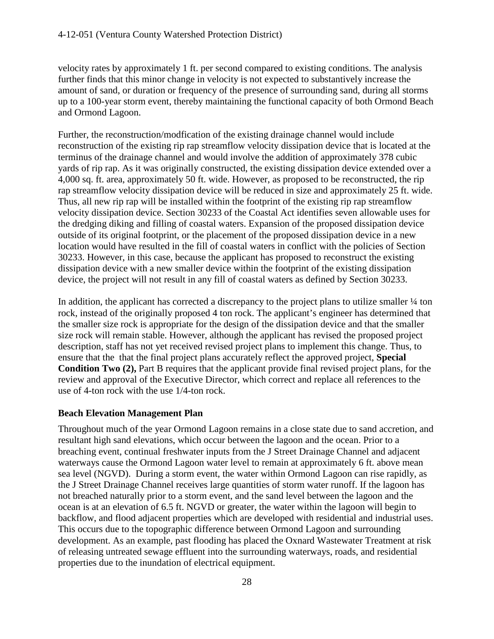velocity rates by approximately 1 ft. per second compared to existing conditions. The analysis further finds that this minor change in velocity is not expected to substantively increase the amount of sand, or duration or frequency of the presence of surrounding sand, during all storms up to a 100-year storm event, thereby maintaining the functional capacity of both Ormond Beach and Ormond Lagoon.

Further, the reconstruction/modfication of the existing drainage channel would include reconstruction of the existing rip rap streamflow velocity dissipation device that is located at the terminus of the drainage channel and would involve the addition of approximately 378 cubic yards of rip rap. As it was originally constructed, the existing dissipation device extended over a 4,000 sq. ft. area, approximately 50 ft. wide. However, as proposed to be reconstructed, the rip rap streamflow velocity dissipation device will be reduced in size and approximately 25 ft. wide. Thus, all new rip rap will be installed within the footprint of the existing rip rap streamflow velocity dissipation device. Section 30233 of the Coastal Act identifies seven allowable uses for the dredging diking and filling of coastal waters. Expansion of the proposed dissipation device outside of its original footprint, or the placement of the proposed dissipation device in a new location would have resulted in the fill of coastal waters in conflict with the policies of Section 30233. However, in this case, because the applicant has proposed to reconstruct the existing dissipation device with a new smaller device within the footprint of the existing dissipation device, the project will not result in any fill of coastal waters as defined by Section 30233.

In addition, the applicant has corrected a discrepancy to the project plans to utilize smaller  $\frac{1}{4}$  ton rock, instead of the originally proposed 4 ton rock. The applicant's engineer has determined that the smaller size rock is appropriate for the design of the dissipation device and that the smaller size rock will remain stable. However, although the applicant has revised the proposed project description, staff has not yet received revised project plans to implement this change. Thus, to ensure that the that the final project plans accurately reflect the approved project, **Special Condition Two (2), Part B requires that the applicant provide final revised project plans, for the** review and approval of the Executive Director, which correct and replace all references to the use of 4-ton rock with the use 1/4-ton rock.

#### **Beach Elevation Management Plan**

Throughout much of the year Ormond Lagoon remains in a close state due to sand accretion, and resultant high sand elevations, which occur between the lagoon and the ocean. Prior to a breaching event, continual freshwater inputs from the J Street Drainage Channel and adjacent waterways cause the Ormond Lagoon water level to remain at approximately 6 ft. above mean sea level (NGVD). During a storm event, the water within Ormond Lagoon can rise rapidly, as the J Street Drainage Channel receives large quantities of storm water runoff. If the lagoon has not breached naturally prior to a storm event, and the sand level between the lagoon and the ocean is at an elevation of 6.5 ft. NGVD or greater, the water within the lagoon will begin to backflow, and flood adjacent properties which are developed with residential and industrial uses. This occurs due to the topographic difference between Ormond Lagoon and surrounding development. As an example, past flooding has placed the Oxnard Wastewater Treatment at risk of releasing untreated sewage effluent into the surrounding waterways, roads, and residential properties due to the inundation of electrical equipment.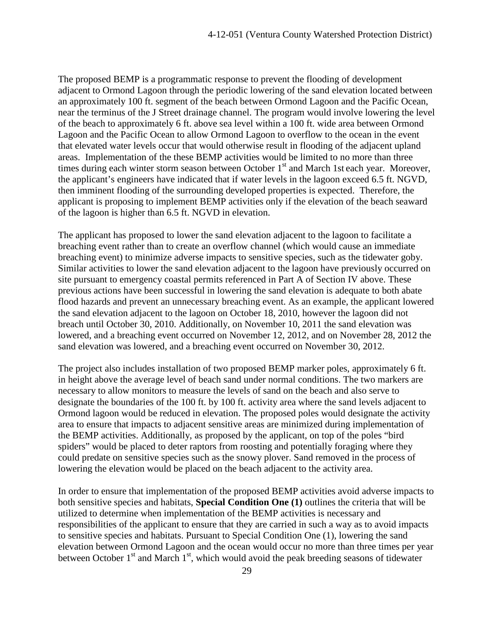The proposed BEMP is a programmatic response to prevent the flooding of development adjacent to Ormond Lagoon through the periodic lowering of the sand elevation located between an approximately 100 ft. segment of the beach between Ormond Lagoon and the Pacific Ocean, near the terminus of the J Street drainage channel. The program would involve lowering the level of the beach to approximately 6 ft. above sea level within a 100 ft. wide area between Ormond Lagoon and the Pacific Ocean to allow Ormond Lagoon to overflow to the ocean in the event that elevated water levels occur that would otherwise result in flooding of the adjacent upland areas. Implementation of the these BEMP activities would be limited to no more than three times during each winter storm season between October  $1<sup>st</sup>$  and March 1st each year. Moreover, the applicant's engineers have indicated that if water levels in the lagoon exceed 6.5 ft. NGVD, then imminent flooding of the surrounding developed properties is expected. Therefore, the applicant is proposing to implement BEMP activities only if the elevation of the beach seaward of the lagoon is higher than 6.5 ft. NGVD in elevation.

The applicant has proposed to lower the sand elevation adjacent to the lagoon to facilitate a breaching event rather than to create an overflow channel (which would cause an immediate breaching event) to minimize adverse impacts to sensitive species, such as the tidewater goby. Similar activities to lower the sand elevation adjacent to the lagoon have previously occurred on site pursuant to emergency coastal permits referenced in Part A of Section IV above. These previous actions have been successful in lowering the sand elevation is adequate to both abate flood hazards and prevent an unnecessary breaching event. As an example, the applicant lowered the sand elevation adjacent to the lagoon on October 18, 2010, however the lagoon did not breach until October 30, 2010. Additionally, on November 10, 2011 the sand elevation was lowered, and a breaching event occurred on November 12, 2012, and on November 28, 2012 the sand elevation was lowered, and a breaching event occurred on November 30, 2012.

The project also includes installation of two proposed BEMP marker poles, approximately 6 ft. in height above the average level of beach sand under normal conditions. The two markers are necessary to allow monitors to measure the levels of sand on the beach and also serve to designate the boundaries of the 100 ft. by 100 ft. activity area where the sand levels adjacent to Ormond lagoon would be reduced in elevation. The proposed poles would designate the activity area to ensure that impacts to adjacent sensitive areas are minimized during implementation of the BEMP activities. Additionally, as proposed by the applicant, on top of the poles "bird spiders" would be placed to deter raptors from roosting and potentially foraging where they could predate on sensitive species such as the snowy plover. Sand removed in the process of lowering the elevation would be placed on the beach adjacent to the activity area.

In order to ensure that implementation of the proposed BEMP activities avoid adverse impacts to both sensitive species and habitats, **Special Condition One (1)** outlines the criteria that will be utilized to determine when implementation of the BEMP activities is necessary and responsibilities of the applicant to ensure that they are carried in such a way as to avoid impacts to sensitive species and habitats. Pursuant to Special Condition One (1), lowering the sand elevation between Ormond Lagoon and the ocean would occur no more than three times per year between October  $1<sup>st</sup>$  and March  $1<sup>st</sup>$ , which would avoid the peak breeding seasons of tidewater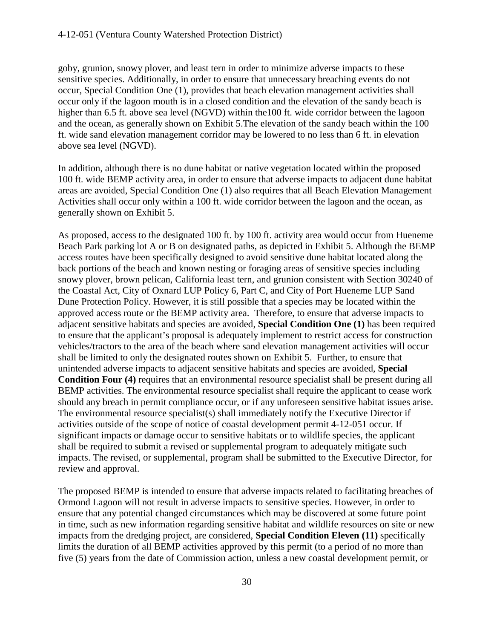goby, grunion, snowy plover, and least tern in order to minimize adverse impacts to these sensitive species. Additionally, in order to ensure that unnecessary breaching events do not occur, Special Condition One (1), provides that beach elevation management activities shall occur only if the lagoon mouth is in a closed condition and the elevation of the sandy beach is higher than 6.5 ft. above sea level (NGVD) within the100 ft. wide corridor between the lagoon and the ocean, as generally shown on Exhibit 5.The elevation of the sandy beach within the 100 ft. wide sand elevation management corridor may be lowered to no less than 6 ft. in elevation above sea level (NGVD).

In addition, although there is no dune habitat or native vegetation located within the proposed 100 ft. wide BEMP activity area, in order to ensure that adverse impacts to adjacent dune habitat areas are avoided, Special Condition One (1) also requires that all Beach Elevation Management Activities shall occur only within a 100 ft. wide corridor between the lagoon and the ocean, as generally shown on Exhibit 5.

As proposed, access to the designated 100 ft. by 100 ft. activity area would occur from Hueneme Beach Park parking lot A or B on designated paths, as depicted in Exhibit 5. Although the BEMP access routes have been specifically designed to avoid sensitive dune habitat located along the back portions of the beach and known nesting or foraging areas of sensitive species including snowy plover, brown pelican, California least tern, and grunion consistent with Section 30240 of the Coastal Act, City of Oxnard LUP Policy 6, Part C, and City of Port Hueneme LUP Sand Dune Protection Policy. However, it is still possible that a species may be located within the approved access route or the BEMP activity area. Therefore, to ensure that adverse impacts to adjacent sensitive habitats and species are avoided, **Special Condition One (1)** has been required to ensure that the applicant's proposal is adequately implement to restrict access for construction vehicles/tractors to the area of the beach where sand elevation management activities will occur shall be limited to only the designated routes shown on Exhibit 5. Further, to ensure that unintended adverse impacts to adjacent sensitive habitats and species are avoided, **Special Condition Four (4)** requires that an environmental resource specialist shall be present during all BEMP activities. The environmental resource specialist shall require the applicant to cease work should any breach in permit compliance occur, or if any unforeseen sensitive habitat issues arise. The environmental resource specialist(s) shall immediately notify the Executive Director if activities outside of the scope of notice of coastal development permit 4-12-051 occur. If significant impacts or damage occur to sensitive habitats or to wildlife species, the applicant shall be required to submit a revised or supplemental program to adequately mitigate such impacts. The revised, or supplemental, program shall be submitted to the Executive Director, for review and approval.

The proposed BEMP is intended to ensure that adverse impacts related to facilitating breaches of Ormond Lagoon will not result in adverse impacts to sensitive species. However, in order to ensure that any potential changed circumstances which may be discovered at some future point in time, such as new information regarding sensitive habitat and wildlife resources on site or new impacts from the dredging project, are considered, **Special Condition Eleven (11)** specifically limits the duration of all BEMP activities approved by this permit (to a period of no more than five (5) years from the date of Commission action, unless a new coastal development permit, or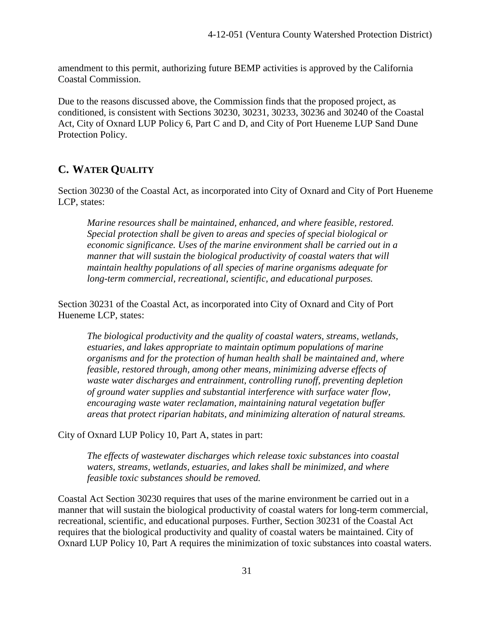amendment to this permit, authorizing future BEMP activities is approved by the California Coastal Commission.

Due to the reasons discussed above, the Commission finds that the proposed project, as conditioned, is consistent with Sections 30230, 30231, 30233, 30236 and 30240 of the Coastal Act, City of Oxnard LUP Policy 6, Part C and D, and City of Port Hueneme LUP Sand Dune Protection Policy.

#### <span id="page-34-0"></span>**C. WATER QUALITY**

Section 30230 of the Coastal Act, as incorporated into City of Oxnard and City of Port Hueneme LCP, states:

*Marine resources shall be maintained, enhanced, and where feasible, restored. Special protection shall be given to areas and species of special biological or economic significance. Uses of the marine environment shall be carried out in a manner that will sustain the biological productivity of coastal waters that will maintain healthy populations of all species of marine organisms adequate for long-term commercial, recreational, scientific, and educational purposes.*

Section 30231 of the Coastal Act, as incorporated into City of Oxnard and City of Port Hueneme LCP, states:

*The biological productivity and the quality of coastal waters, streams, wetlands, estuaries, and lakes appropriate to maintain optimum populations of marine organisms and for the protection of human health shall be maintained and, where feasible, restored through, among other means, minimizing adverse effects of waste water discharges and entrainment, controlling runoff, preventing depletion of ground water supplies and substantial interference with surface water flow, encouraging waste water reclamation, maintaining natural vegetation buffer areas that protect riparian habitats, and minimizing alteration of natural streams.*

City of Oxnard LUP Policy 10, Part A, states in part:

*The effects of wastewater discharges which release toxic substances into coastal waters, streams, wetlands, estuaries, and lakes shall be minimized, and where feasible toxic substances should be removed.* 

Coastal Act Section 30230 requires that uses of the marine environment be carried out in a manner that will sustain the biological productivity of coastal waters for long-term commercial, recreational, scientific, and educational purposes. Further, Section 30231 of the Coastal Act requires that the biological productivity and quality of coastal waters be maintained. City of Oxnard LUP Policy 10, Part A requires the minimization of toxic substances into coastal waters.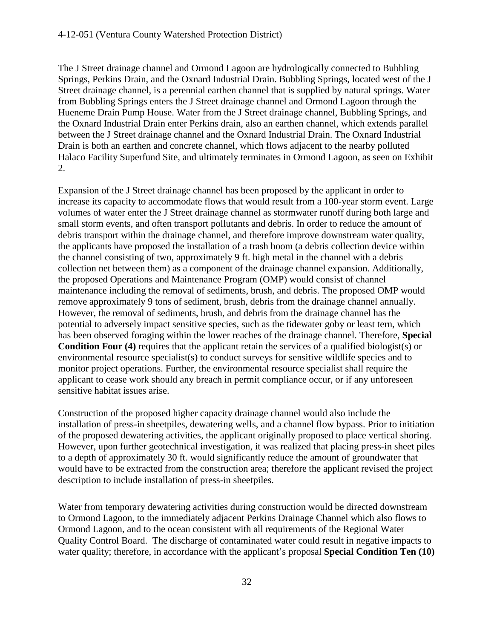The J Street drainage channel and Ormond Lagoon are hydrologically connected to Bubbling Springs, Perkins Drain, and the Oxnard Industrial Drain. Bubbling Springs, located west of the J Street drainage channel, is a perennial earthen channel that is supplied by natural springs. Water from Bubbling Springs enters the J Street drainage channel and Ormond Lagoon through the Hueneme Drain Pump House. Water from the J Street drainage channel, Bubbling Springs, and the Oxnard Industrial Drain enter Perkins drain, also an earthen channel, which extends parallel between the J Street drainage channel and the Oxnard Industrial Drain. The Oxnard Industrial Drain is both an earthen and concrete channel, which flows adjacent to the nearby polluted Halaco Facility Superfund Site, and ultimately terminates in Ormond Lagoon, as seen on Exhibit 2.

Expansion of the J Street drainage channel has been proposed by the applicant in order to increase its capacity to accommodate flows that would result from a 100-year storm event. Large volumes of water enter the J Street drainage channel as stormwater runoff during both large and small storm events, and often transport pollutants and debris. In order to reduce the amount of debris transport within the drainage channel, and therefore improve downstream water quality, the applicants have proposed the installation of a trash boom (a debris collection device within the channel consisting of two, approximately 9 ft. high metal in the channel with a debris collection net between them) as a component of the drainage channel expansion. Additionally, the proposed Operations and Maintenance Program (OMP) would consist of channel maintenance including the removal of sediments, brush, and debris. The proposed OMP would remove approximately 9 tons of sediment, brush, debris from the drainage channel annually. However, the removal of sediments, brush, and debris from the drainage channel has the potential to adversely impact sensitive species, such as the tidewater goby or least tern, which has been observed foraging within the lower reaches of the drainage channel. Therefore, **Special Condition Four (4)** requires that the applicant retain the services of a qualified biologist(s) or environmental resource specialist(s) to conduct surveys for sensitive wildlife species and to monitor project operations. Further, the environmental resource specialist shall require the applicant to cease work should any breach in permit compliance occur, or if any unforeseen sensitive habitat issues arise.

Construction of the proposed higher capacity drainage channel would also include the installation of press-in sheetpiles, dewatering wells, and a channel flow bypass. Prior to initiation of the proposed dewatering activities, the applicant originally proposed to place vertical shoring. However, upon further geotechnical investigation, it was realized that placing press-in sheet piles to a depth of approximately 30 ft. would significantly reduce the amount of groundwater that would have to be extracted from the construction area; therefore the applicant revised the project description to include installation of press-in sheetpiles.

Water from temporary dewatering activities during construction would be directed downstream to Ormond Lagoon, to the immediately adjacent Perkins Drainage Channel which also flows to Ormond Lagoon, and to the ocean consistent with all requirements of the Regional Water Quality Control Board. The discharge of contaminated water could result in negative impacts to water quality; therefore, in accordance with the applicant's proposal **Special Condition Ten (10)**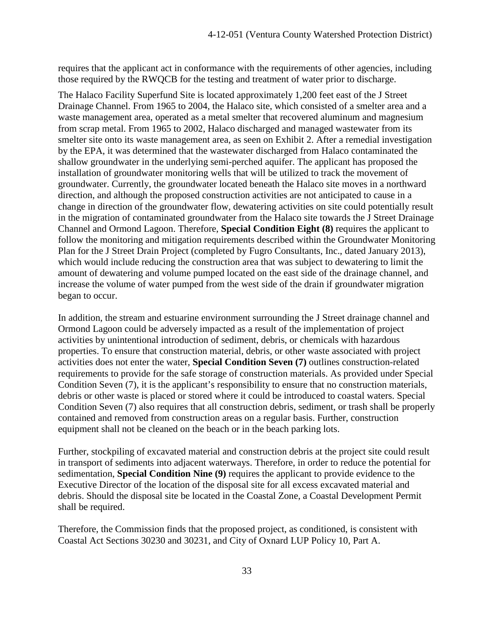requires that the applicant act in conformance with the requirements of other agencies, including those required by the RWQCB for the testing and treatment of water prior to discharge.

The Halaco Facility Superfund Site is located approximately 1,200 feet east of the J Street Drainage Channel. From 1965 to 2004, the Halaco site, which consisted of a smelter area and a waste management area, operated as a metal smelter that recovered aluminum and magnesium from scrap metal. From 1965 to 2002, Halaco discharged and managed wastewater from its smelter site onto its waste management area, as seen on Exhibit 2. After a remedial investigation by the EPA, it was determined that the wastewater discharged from Halaco contaminated the shallow groundwater in the underlying semi-perched aquifer. The applicant has proposed the installation of groundwater monitoring wells that will be utilized to track the movement of groundwater. Currently, the groundwater located beneath the Halaco site moves in a northward direction, and although the proposed construction activities are not anticipated to cause in a change in direction of the groundwater flow, dewatering activities on site could potentially result in the migration of contaminated groundwater from the Halaco site towards the J Street Drainage Channel and Ormond Lagoon. Therefore, **Special Condition Eight (8)** requires the applicant to follow the monitoring and mitigation requirements described within the Groundwater Monitoring Plan for the J Street Drain Project (completed by Fugro Consultants, Inc., dated January 2013), which would include reducing the construction area that was subject to dewatering to limit the amount of dewatering and volume pumped located on the east side of the drainage channel, and increase the volume of water pumped from the west side of the drain if groundwater migration began to occur.

In addition, the stream and estuarine environment surrounding the J Street drainage channel and Ormond Lagoon could be adversely impacted as a result of the implementation of project activities by unintentional introduction of sediment, debris, or chemicals with hazardous properties. To ensure that construction material, debris, or other waste associated with project activities does not enter the water, **Special Condition Seven (7)** outlines construction-related requirements to provide for the safe storage of construction materials. As provided under Special Condition Seven (7), it is the applicant's responsibility to ensure that no construction materials, debris or other waste is placed or stored where it could be introduced to coastal waters. Special Condition Seven (7) also requires that all construction debris, sediment, or trash shall be properly contained and removed from construction areas on a regular basis. Further, construction equipment shall not be cleaned on the beach or in the beach parking lots.

Further, stockpiling of excavated material and construction debris at the project site could result in transport of sediments into adjacent waterways. Therefore, in order to reduce the potential for sedimentation, **Special Condition Nine (9)** requires the applicant to provide evidence to the Executive Director of the location of the disposal site for all excess excavated material and debris. Should the disposal site be located in the Coastal Zone, a Coastal Development Permit shall be required.

Therefore, the Commission finds that the proposed project, as conditioned, is consistent with Coastal Act Sections 30230 and 30231, and City of Oxnard LUP Policy 10, Part A.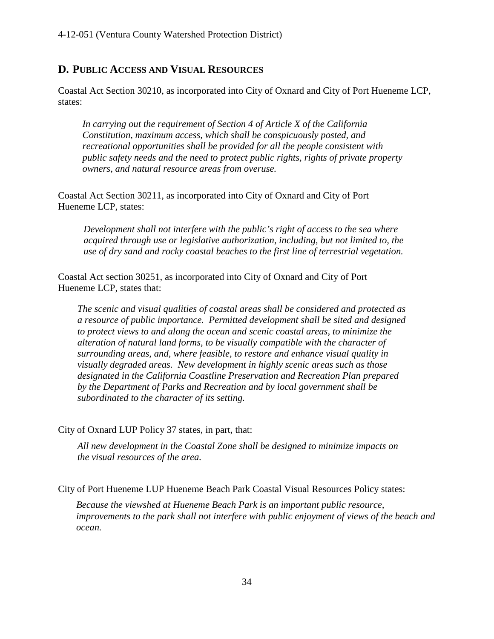#### <span id="page-37-0"></span>**D. PUBLIC ACCESS AND VISUAL RESOURCES**

Coastal Act Section 30210, as incorporated into City of Oxnard and City of Port Hueneme LCP, states:

*In carrying out the requirement of Section 4 of Article X of the California Constitution, maximum access, which shall be conspicuously posted, and recreational opportunities shall be provided for all the people consistent with public safety needs and the need to protect public rights, rights of private property owners, and natural resource areas from overuse.*

Coastal Act Section 30211, as incorporated into City of Oxnard and City of Port Hueneme LCP, states:

*Development shall not interfere with the public's right of access to the sea where acquired through use or legislative authorization, including, but not limited to, the use of dry sand and rocky coastal beaches to the first line of terrestrial vegetation.*

Coastal Act section 30251, as incorporated into City of Oxnard and City of Port Hueneme LCP, states that:

*The scenic and visual qualities of coastal areas shall be considered and protected as a resource of public importance. Permitted development shall be sited and designed to protect views to and along the ocean and scenic coastal areas, to minimize the alteration of natural land forms, to be visually compatible with the character of surrounding areas, and, where feasible, to restore and enhance visual quality in visually degraded areas. New development in highly scenic areas such as those designated in the California Coastline Preservation and Recreation Plan prepared by the Department of Parks and Recreation and by local government shall be subordinated to the character of its setting.*

City of Oxnard LUP Policy 37 states, in part, that:

*All new development in the Coastal Zone shall be designed to minimize impacts on the visual resources of the area.* 

City of Port Hueneme LUP Hueneme Beach Park Coastal Visual Resources Policy states:

*Because the viewshed at Hueneme Beach Park is an important public resource, improvements to the park shall not interfere with public enjoyment of views of the beach and ocean.*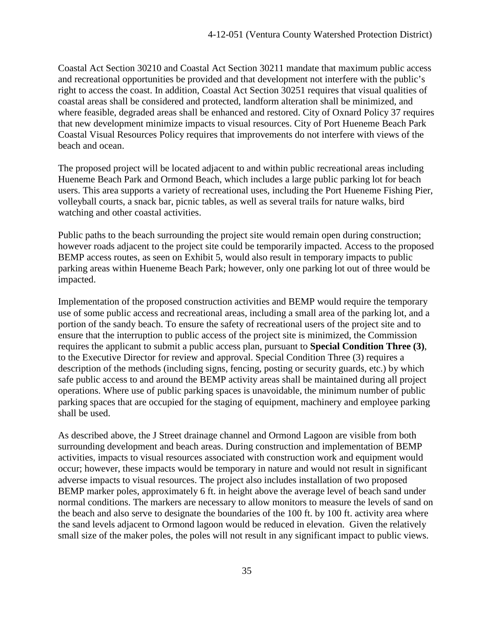Coastal Act Section 30210 and Coastal Act Section 30211 mandate that maximum public access and recreational opportunities be provided and that development not interfere with the public's right to access the coast. In addition, Coastal Act Section 30251 requires that visual qualities of coastal areas shall be considered and protected, landform alteration shall be minimized, and where feasible, degraded areas shall be enhanced and restored. City of Oxnard Policy 37 requires that new development minimize impacts to visual resources. City of Port Hueneme Beach Park Coastal Visual Resources Policy requires that improvements do not interfere with views of the beach and ocean.

The proposed project will be located adjacent to and within public recreational areas including Hueneme Beach Park and Ormond Beach, which includes a large public parking lot for beach users. This area supports a variety of recreational uses, including the Port Hueneme Fishing Pier, volleyball courts, a snack bar, picnic tables, as well as several trails for nature walks, bird watching and other coastal activities.

Public paths to the beach surrounding the project site would remain open during construction; however roads adjacent to the project site could be temporarily impacted. Access to the proposed BEMP access routes, as seen on Exhibit 5, would also result in temporary impacts to public parking areas within Hueneme Beach Park; however, only one parking lot out of three would be impacted.

Implementation of the proposed construction activities and BEMP would require the temporary use of some public access and recreational areas, including a small area of the parking lot, and a portion of the sandy beach. To ensure the safety of recreational users of the project site and to ensure that the interruption to public access of the project site is minimized, the Commission requires the applicant to submit a public access plan, pursuant to **Special Condition Three (3)**, to the Executive Director for review and approval. Special Condition Three (3) requires a description of the methods (including signs, fencing, posting or security guards, etc.) by which safe public access to and around the BEMP activity areas shall be maintained during all project operations. Where use of public parking spaces is unavoidable, the minimum number of public parking spaces that are occupied for the staging of equipment, machinery and employee parking shall be used.

As described above, the J Street drainage channel and Ormond Lagoon are visible from both surrounding development and beach areas. During construction and implementation of BEMP activities, impacts to visual resources associated with construction work and equipment would occur; however, these impacts would be temporary in nature and would not result in significant adverse impacts to visual resources. The project also includes installation of two proposed BEMP marker poles, approximately 6 ft. in height above the average level of beach sand under normal conditions. The markers are necessary to allow monitors to measure the levels of sand on the beach and also serve to designate the boundaries of the 100 ft. by 100 ft. activity area where the sand levels adjacent to Ormond lagoon would be reduced in elevation. Given the relatively small size of the maker poles, the poles will not result in any significant impact to public views.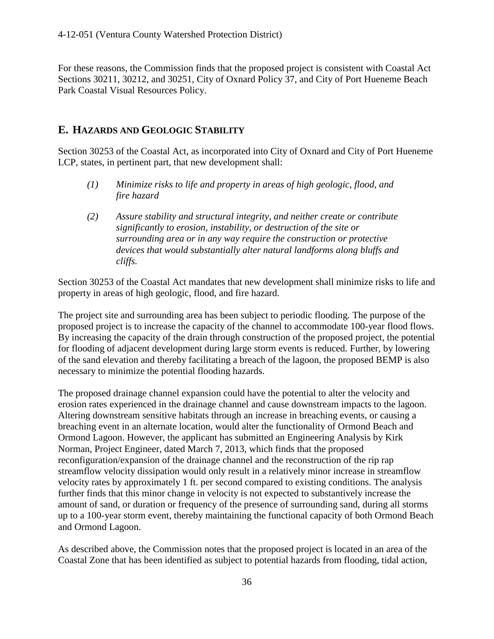For these reasons, the Commission finds that the proposed project is consistent with Coastal Act Sections 30211, 30212, and 30251, City of Oxnard Policy 37, and City of Port Hueneme Beach Park Coastal Visual Resources Policy.

#### <span id="page-39-0"></span>**E. HAZARDS AND GEOLOGIC STABILITY**

Section 30253 of the Coastal Act, as incorporated into City of Oxnard and City of Port Hueneme LCP, states, in pertinent part, that new development shall:

- *(1) Minimize risks to life and property in areas of high geologic, flood, and fire hazard*
- *(2) Assure stability and structural integrity, and neither create or contribute significantly to erosion, instability, or destruction of the site or surrounding area or in any way require the construction or protective devices that would substantially alter natural landforms along bluffs and cliffs.*

Section 30253 of the Coastal Act mandates that new development shall minimize risks to life and property in areas of high geologic, flood, and fire hazard.

The project site and surrounding area has been subject to periodic flooding. The purpose of the proposed project is to increase the capacity of the channel to accommodate 100-year flood flows. By increasing the capacity of the drain through construction of the proposed project, the potential for flooding of adjacent development during large storm events is reduced. Further, by lowering of the sand elevation and thereby facilitating a breach of the lagoon, the proposed BEMP is also necessary to minimize the potential flooding hazards.

The proposed drainage channel expansion could have the potential to alter the velocity and erosion rates experienced in the drainage channel and cause downstream impacts to the lagoon. Altering downstream sensitive habitats through an increase in breaching events, or causing a breaching event in an alternate location, would alter the functionality of Ormond Beach and Ormond Lagoon. However, the applicant has submitted an Engineering Analysis by Kirk Norman, Project Engineer, dated March 7, 2013, which finds that the proposed reconfiguration/expansion of the drainage channel and the reconstruction of the rip rap streamflow velocity dissipation would only result in a relatively minor increase in streamflow velocity rates by approximately 1 ft. per second compared to existing conditions. The analysis further finds that this minor change in velocity is not expected to substantively increase the amount of sand, or duration or frequency of the presence of surrounding sand, during all storms up to a 100-year storm event, thereby maintaining the functional capacity of both Ormond Beach and Ormond Lagoon.

As described above, the Commission notes that the proposed project is located in an area of the Coastal Zone that has been identified as subject to potential hazards from flooding, tidal action,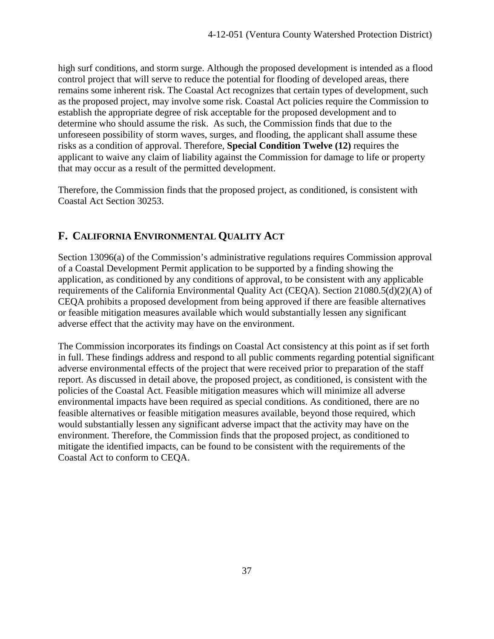high surf conditions, and storm surge. Although the proposed development is intended as a flood control project that will serve to reduce the potential for flooding of developed areas, there remains some inherent risk. The Coastal Act recognizes that certain types of development, such as the proposed project, may involve some risk. Coastal Act policies require the Commission to establish the appropriate degree of risk acceptable for the proposed development and to determine who should assume the risk. As such, the Commission finds that due to the unforeseen possibility of storm waves, surges, and flooding, the applicant shall assume these risks as a condition of approval. Therefore, **Special Condition Twelve (12)** requires the applicant to waive any claim of liability against the Commission for damage to life or property that may occur as a result of the permitted development.

Therefore, the Commission finds that the proposed project, as conditioned, is consistent with Coastal Act Section 30253.

# <span id="page-40-0"></span>**F. CALIFORNIA ENVIRONMENTAL QUALITY ACT**

Section 13096(a) of the Commission's administrative regulations requires Commission approval of a Coastal Development Permit application to be supported by a finding showing the application, as conditioned by any conditions of approval, to be consistent with any applicable requirements of the California Environmental Quality Act (CEQA). Section 21080.5(d)(2)(A) of CEQA prohibits a proposed development from being approved if there are feasible alternatives or feasible mitigation measures available which would substantially lessen any significant adverse effect that the activity may have on the environment.

The Commission incorporates its findings on Coastal Act consistency at this point as if set forth in full. These findings address and respond to all public comments regarding potential significant adverse environmental effects of the project that were received prior to preparation of the staff report. As discussed in detail above, the proposed project, as conditioned, is consistent with the policies of the Coastal Act. Feasible mitigation measures which will minimize all adverse environmental impacts have been required as special conditions. As conditioned, there are no feasible alternatives or feasible mitigation measures available, beyond those required, which would substantially lessen any significant adverse impact that the activity may have on the environment. Therefore, the Commission finds that the proposed project, as conditioned to mitigate the identified impacts, can be found to be consistent with the requirements of the Coastal Act to conform to CEQA.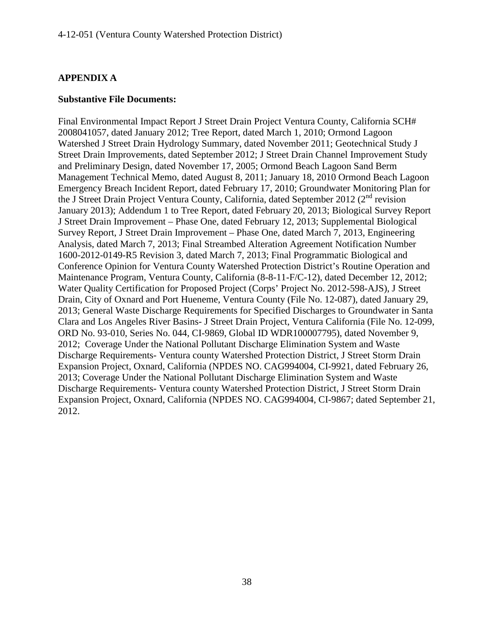#### **APPENDIX A**

#### **Substantive File Documents:**

Final Environmental Impact Report J Street Drain Project Ventura County, California SCH# 2008041057, dated January 2012; Tree Report, dated March 1, 2010; Ormond Lagoon Watershed J Street Drain Hydrology Summary, dated November 2011; Geotechnical Study J Street Drain Improvements, dated September 2012; J Street Drain Channel Improvement Study and Preliminary Design, dated November 17, 2005; Ormond Beach Lagoon Sand Berm Management Technical Memo, dated August 8, 2011; January 18, 2010 Ormond Beach Lagoon Emergency Breach Incident Report, dated February 17, 2010; Groundwater Monitoring Plan for the J Street Drain Project Ventura County, California, dated September 2012 ( $2<sup>nd</sup>$  revision January 2013); Addendum 1 to Tree Report, dated February 20, 2013; Biological Survey Report J Street Drain Improvement – Phase One, dated February 12, 2013; Supplemental Biological Survey Report, J Street Drain Improvement – Phase One, dated March 7, 2013, Engineering Analysis, dated March 7, 2013; Final Streambed Alteration Agreement Notification Number 1600-2012-0149-R5 Revision 3, dated March 7, 2013; Final Programmatic Biological and Conference Opinion for Ventura County Watershed Protection District's Routine Operation and Maintenance Program, Ventura County, California (8-8-11-F/C-12), dated December 12, 2012; Water Quality Certification for Proposed Project (Corps' Project No. 2012-598-AJS), J Street Drain, City of Oxnard and Port Hueneme, Ventura County (File No. 12-087), dated January 29, 2013; General Waste Discharge Requirements for Specified Discharges to Groundwater in Santa Clara and Los Angeles River Basins- J Street Drain Project, Ventura California (File No. 12-099, ORD No. 93-010, Series No. 044, CI-9869, Global ID WDR100007795), dated November 9, 2012; Coverage Under the National Pollutant Discharge Elimination System and Waste Discharge Requirements- Ventura county Watershed Protection District, J Street Storm Drain Expansion Project, Oxnard, California (NPDES NO. CAG994004, CI-9921, dated February 26, 2013; Coverage Under the National Pollutant Discharge Elimination System and Waste Discharge Requirements- Ventura county Watershed Protection District, J Street Storm Drain Expansion Project, Oxnard, California (NPDES NO. CAG994004, CI-9867; dated September 21, 2012.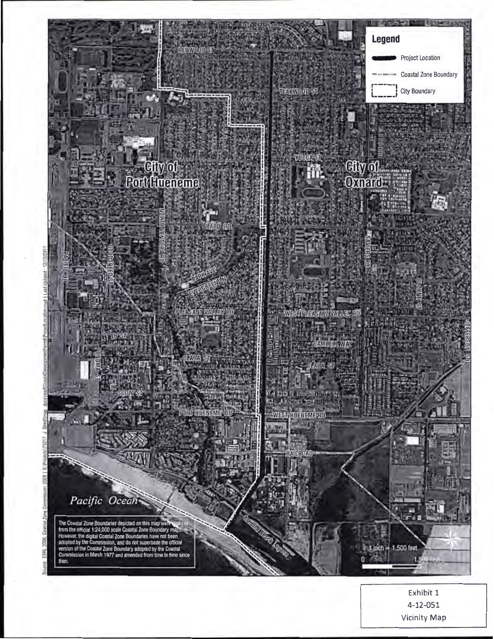

Exhibit 1 4-12-051 Vicinity Map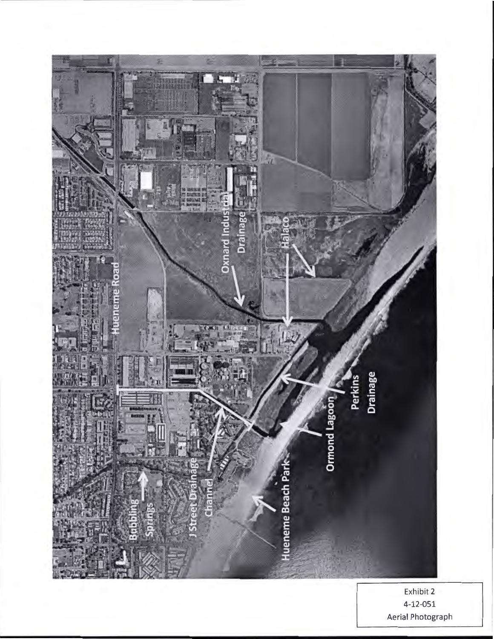

Exhibit 2 4-12-051 Aerial Photograph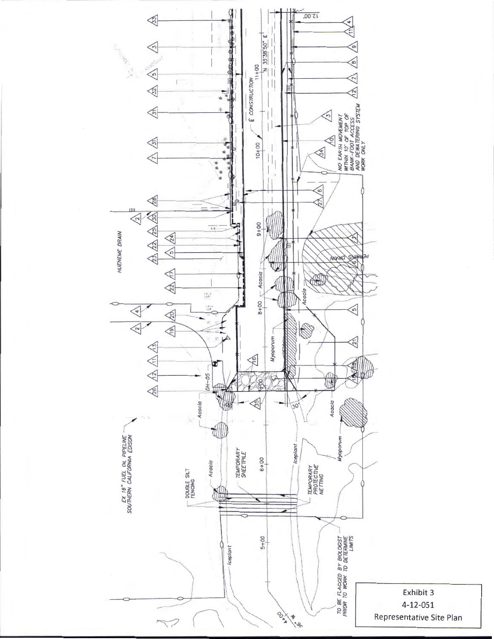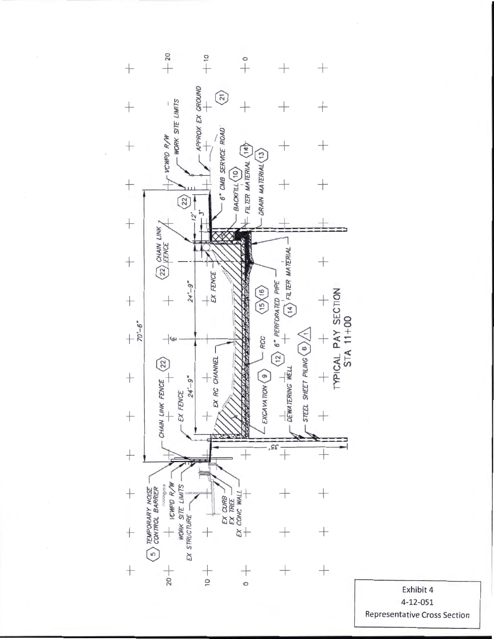

**Representative Cross Sectior** ....... Exh<br>4-1:<br>tativ ....... it<br>)! 4<br>1<br>rc